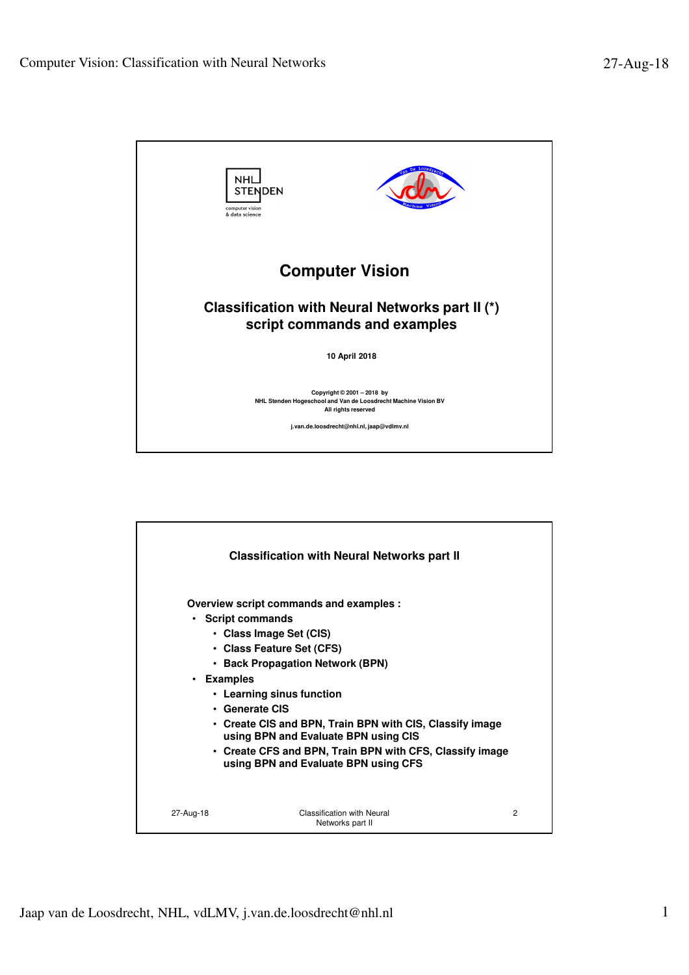

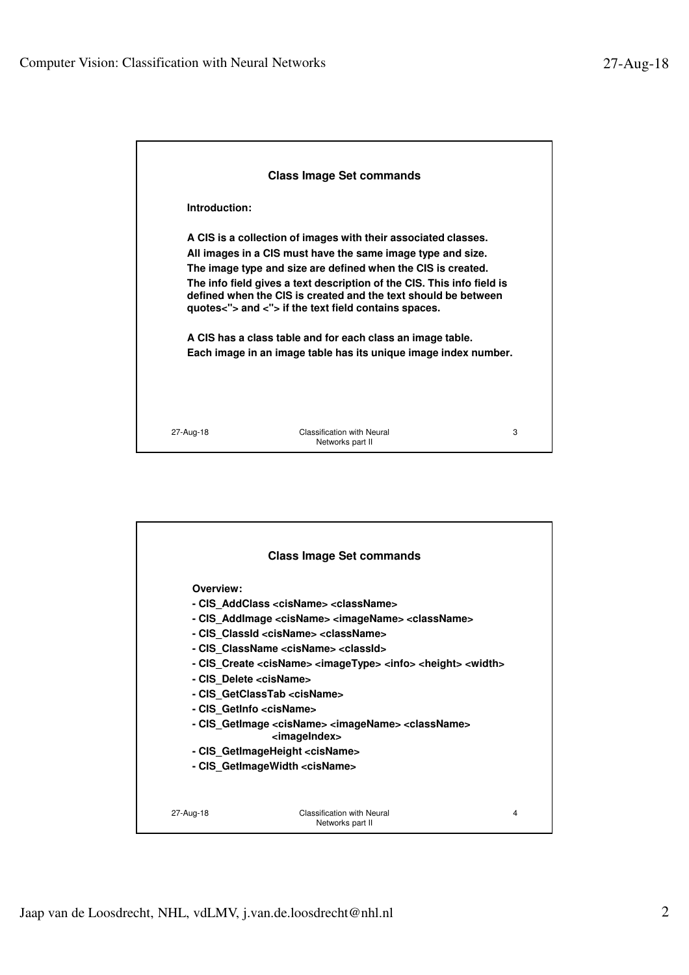| <b>Class Image Set commands</b>                                                                                                                                                                                                                                                                                                                                                                                                                                                                                                    |                                                       |   |  |
|------------------------------------------------------------------------------------------------------------------------------------------------------------------------------------------------------------------------------------------------------------------------------------------------------------------------------------------------------------------------------------------------------------------------------------------------------------------------------------------------------------------------------------|-------------------------------------------------------|---|--|
| Introduction:                                                                                                                                                                                                                                                                                                                                                                                                                                                                                                                      |                                                       |   |  |
| A CIS is a collection of images with their associated classes.<br>All images in a CIS must have the same image type and size.<br>The image type and size are defined when the CIS is created.<br>The info field gives a text description of the CIS. This info field is<br>defined when the CIS is created and the text should be between<br>quotes<"> and <"> if the text field contains spaces.<br>A CIS has a class table and for each class an image table.<br>Each image in an image table has its unique image index number. |                                                       |   |  |
| 27-Aug-18                                                                                                                                                                                                                                                                                                                                                                                                                                                                                                                          | <b>Classification with Neural</b><br>Networks part II | 3 |  |

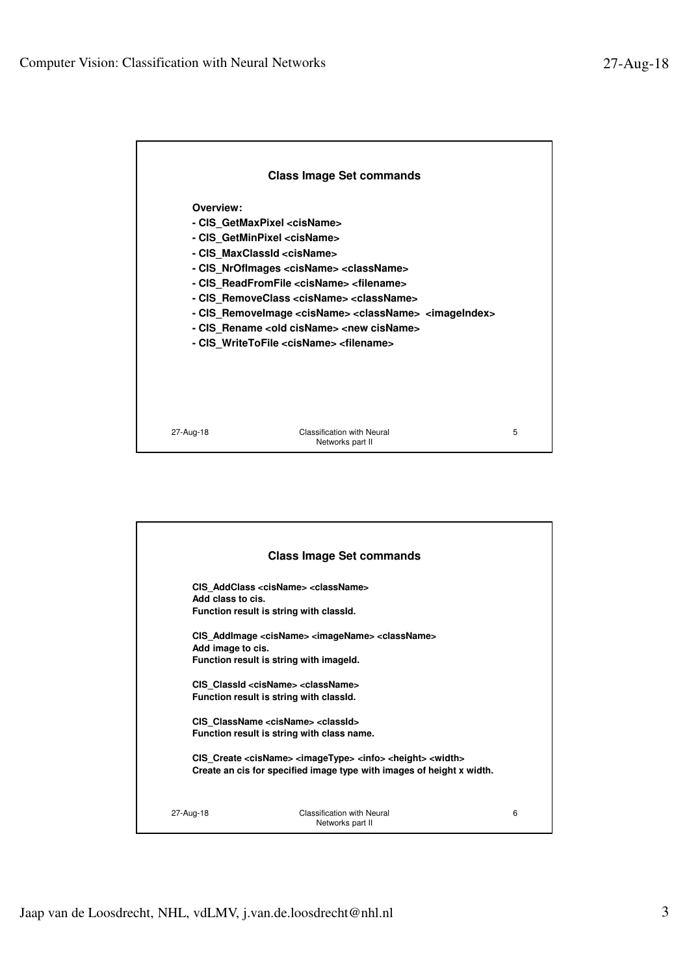

|                                        | <b>Class Image Set commands</b>                                                                                                                                                                                                                                                                                                                                                                                                                                                                                                                                   |   |
|----------------------------------------|-------------------------------------------------------------------------------------------------------------------------------------------------------------------------------------------------------------------------------------------------------------------------------------------------------------------------------------------------------------------------------------------------------------------------------------------------------------------------------------------------------------------------------------------------------------------|---|
| Add class to cis.<br>Add image to cis. | CIS AddClass <cisname> <classname><br/>Function result is string with classid.<br/>CIS AddImage <cisname> <imagename> <classname><br/>Function result is string with imageld.<br/>CIS ClassId <cisname> <classname><br/>Function result is string with classid.<br/>CIS ClassName <cisname> <classid><br/>Function result is string with class name.<br/>CIS Create <cisname> <imagetype> <info> <height> <width></width></height></info></imagetype></cisname></classid></cisname></classname></cisname></classname></imagename></cisname></classname></cisname> |   |
|                                        | Create an cis for specified image type with images of height x width.                                                                                                                                                                                                                                                                                                                                                                                                                                                                                             |   |
| 27-Aug-18                              | <b>Classification with Neural</b><br>Networks part II                                                                                                                                                                                                                                                                                                                                                                                                                                                                                                             | 6 |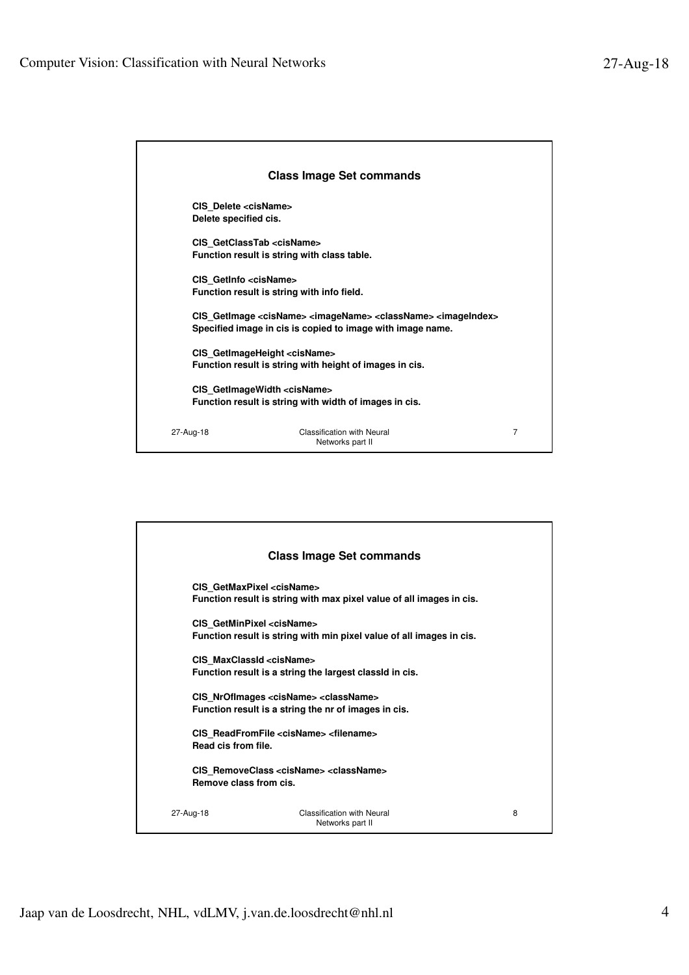| <b>Class Image Set commands</b> |                                                                                                                                                                           |   |  |  |
|---------------------------------|---------------------------------------------------------------------------------------------------------------------------------------------------------------------------|---|--|--|
|                                 | CIS Delete <cisname><br/>Delete specified cis.</cisname>                                                                                                                  |   |  |  |
|                                 | CIS GetClassTab <cisname><br/>Function result is string with class table.</cisname>                                                                                       |   |  |  |
|                                 | CIS GetInfo <cisname><br/>Function result is string with info field.</cisname>                                                                                            |   |  |  |
|                                 | CIS GetImage <cisname> <imagename> <classname> <imageindex><br/>Specified image in cis is copied to image with image name.</imageindex></classname></imagename></cisname> |   |  |  |
|                                 | CIS GetImageHeight <cisname><br/>Function result is string with height of images in cis.</cisname>                                                                        |   |  |  |
|                                 | CIS GetImageWidth <cisname><br/>Function result is string with width of images in cis.</cisname>                                                                          |   |  |  |
| 27-Aug-18                       | Classification with Neural<br>Networks part II                                                                                                                            | 7 |  |  |

|                                     | <b>Class Image Set commands</b>                                                                                     |   |
|-------------------------------------|---------------------------------------------------------------------------------------------------------------------|---|
|                                     | CIS GetMaxPixel <cisname><br/>Function result is string with max pixel value of all images in cis.</cisname>        |   |
| CIS GetMinPixel <cisname></cisname> | Function result is string with min pixel value of all images in cis.                                                |   |
| CIS MaxClassId <cisname></cisname>  | Function result is a string the largest classid in cis.                                                             |   |
|                                     | CIS NrOfImages <cisname> <classname><br/>Function result is a string the nr of images in cis.</classname></cisname> |   |
| Read cis from file.                 | CIS ReadFromFile <cisname> <filename></filename></cisname>                                                          |   |
| Remove class from cis.              | CIS RemoveClass <cisname> <classname></classname></cisname>                                                         |   |
| 27-Aug-18                           | Classification with Neural<br>Networks part II                                                                      | 8 |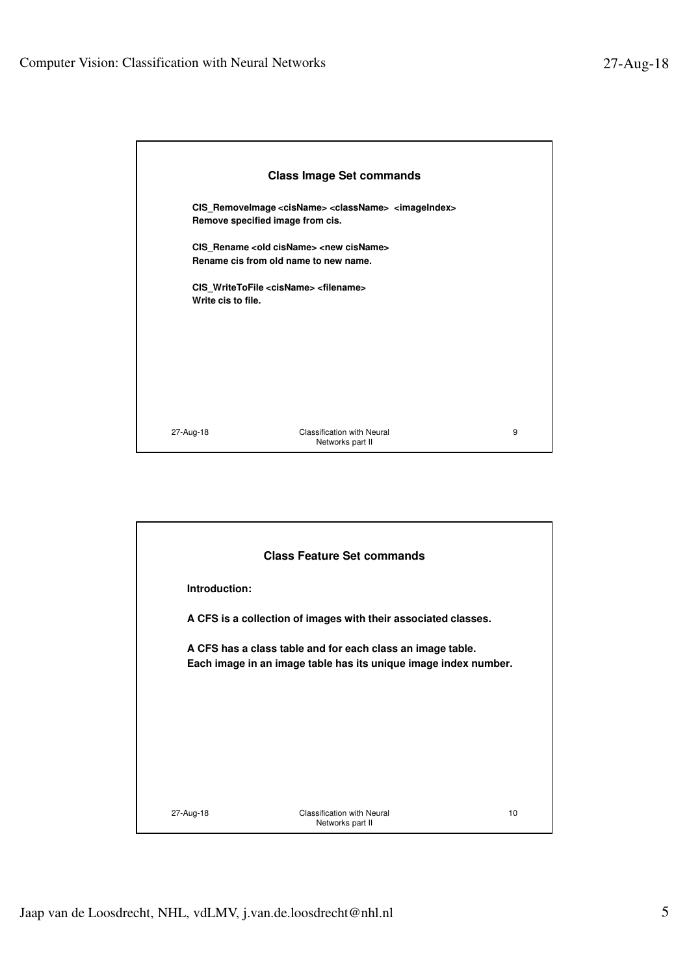|                    | <b>Class Image Set commands</b>                                                                                            |   |
|--------------------|----------------------------------------------------------------------------------------------------------------------------|---|
|                    | CIS_RemoveImage <cisname> <classname> <imageindex><br/>Remove specified image from cis.</imageindex></classname></cisname> |   |
|                    | CIS Rename <old cisname=""> <new cisname=""><br/>Rename cis from old name to new name.</new></old>                         |   |
| Write cis to file. | CIS WriteToFile <cisname> <filename></filename></cisname>                                                                  |   |
|                    |                                                                                                                            |   |
|                    |                                                                                                                            |   |
| 27-Aug-18          | <b>Classification with Neural</b>                                                                                          | 9 |
|                    | Networks part II                                                                                                           |   |

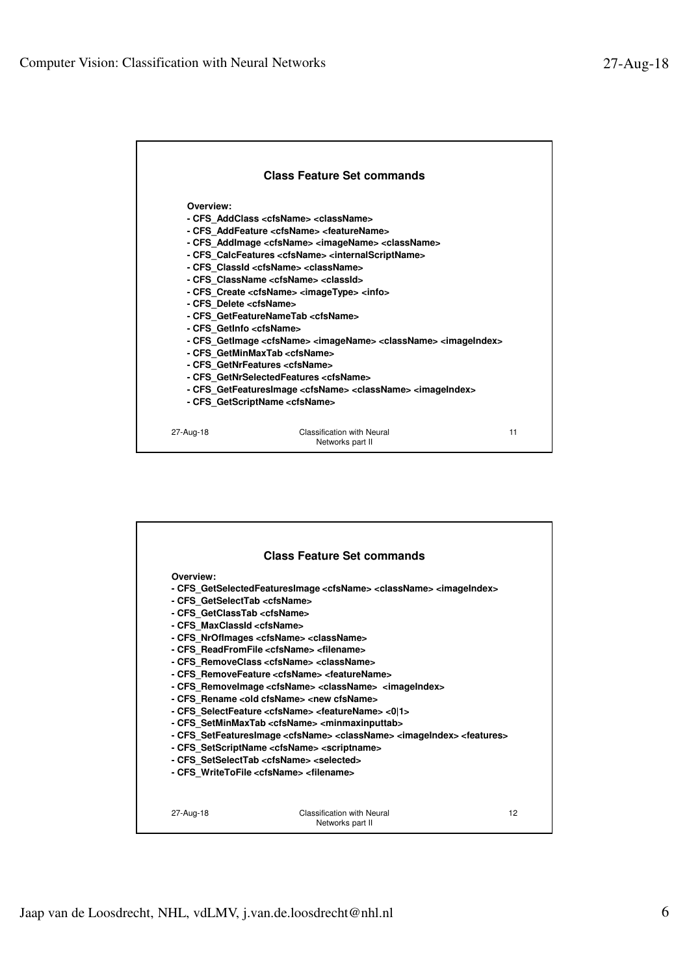| <b>Class Feature Set commands</b><br>Overview:<br>- CFS AddClass <cfsname> <classname><br/>- CFS AddFeature <cfsname> <featurename><br/>- CFS_AddImage <cfsname> <imagename> <classname></classname></imagename></cfsname></featurename></cfsname></classname></cfsname> |
|--------------------------------------------------------------------------------------------------------------------------------------------------------------------------------------------------------------------------------------------------------------------------|
|                                                                                                                                                                                                                                                                          |
|                                                                                                                                                                                                                                                                          |
|                                                                                                                                                                                                                                                                          |
|                                                                                                                                                                                                                                                                          |
|                                                                                                                                                                                                                                                                          |
|                                                                                                                                                                                                                                                                          |
|                                                                                                                                                                                                                                                                          |
| - CFS CalcFeatures <cfsname> <internalscriptname></internalscriptname></cfsname>                                                                                                                                                                                         |
| - CFS ClassId <cfsname> <classname></classname></cfsname>                                                                                                                                                                                                                |
| - CFS ClassName <cfsname> <classid></classid></cfsname>                                                                                                                                                                                                                  |
| - CFS Create <cfsname> <imagetype> <info></info></imagetype></cfsname>                                                                                                                                                                                                   |
| - CFS Delete <cfsname></cfsname>                                                                                                                                                                                                                                         |
| - CFS GetFeatureNameTab <cfsname></cfsname>                                                                                                                                                                                                                              |
| - CFS GetInfo < cfsName>                                                                                                                                                                                                                                                 |
| - CFS_GetImage <cfsname> <imagename> <classname> <imageindex></imageindex></classname></imagename></cfsname>                                                                                                                                                             |
| - CFS_GetMinMaxTab <cfsname></cfsname>                                                                                                                                                                                                                                   |
| - CFS GetNrFeatures <cfsname></cfsname>                                                                                                                                                                                                                                  |
| - CFS GetNrSelectedFeatures <cfsname></cfsname>                                                                                                                                                                                                                          |
| - CFS GetFeaturesImage <cfsname> <classname> <imageindex></imageindex></classname></cfsname>                                                                                                                                                                             |
| - CFS GetScriptName <cfsname></cfsname>                                                                                                                                                                                                                                  |
|                                                                                                                                                                                                                                                                          |
| <b>Classification with Neural</b><br>11<br>27-Aug-18<br>Networks part II                                                                                                                                                                                                 |

|                                        | <b>Class Feature Set commands</b>                                                                                                  |  |
|----------------------------------------|------------------------------------------------------------------------------------------------------------------------------------|--|
| Overview:                              |                                                                                                                                    |  |
|                                        | - CFS GetSelectedFeaturesImage < cfsName> < className> < imageIndex>                                                               |  |
| - CFS GetSelectTab <cfsname></cfsname> |                                                                                                                                    |  |
| - CFS_GetClassTab <cfsname></cfsname>  |                                                                                                                                    |  |
| - CFS MaxClassId <cfsname></cfsname>   |                                                                                                                                    |  |
|                                        | - CFS NrOflmages <cfsname> <classname></classname></cfsname>                                                                       |  |
|                                        | - CFS ReadFromFile <cfsname> <filename><br/>- CFS RemoveClass <cfsname> <classname></classname></cfsname></filename></cfsname>     |  |
|                                        | - CFS RemoveFeature <cfsname> <featurename></featurename></cfsname>                                                                |  |
|                                        | - CFS Removelmage <cfsname> <classname> <imageindex></imageindex></classname></cfsname>                                            |  |
|                                        | - CFS Rename <old cfsname=""> <new cfsname=""></new></old>                                                                         |  |
|                                        | - CFS SelectFeature <cfsname> <featurename> &lt;0 1&gt;</featurename></cfsname>                                                    |  |
|                                        | - CFS SetMinMaxTab <cfsname> <minmaxinputtab></minmaxinputtab></cfsname>                                                           |  |
|                                        |                                                                                                                                    |  |
|                                        |                                                                                                                                    |  |
|                                        | - CFS SetFeaturesImage <cfsname> <classname> <imageindex> <features></features></imageindex></classname></cfsname>                 |  |
|                                        | - CFS SetScriptName <cfsname> <scriptname><br/>- CFS SetSelectTab <cfsname> <selected></selected></cfsname></scriptname></cfsname> |  |
|                                        | - CFS WriteToFile <cfsname> <filename></filename></cfsname>                                                                        |  |
|                                        |                                                                                                                                    |  |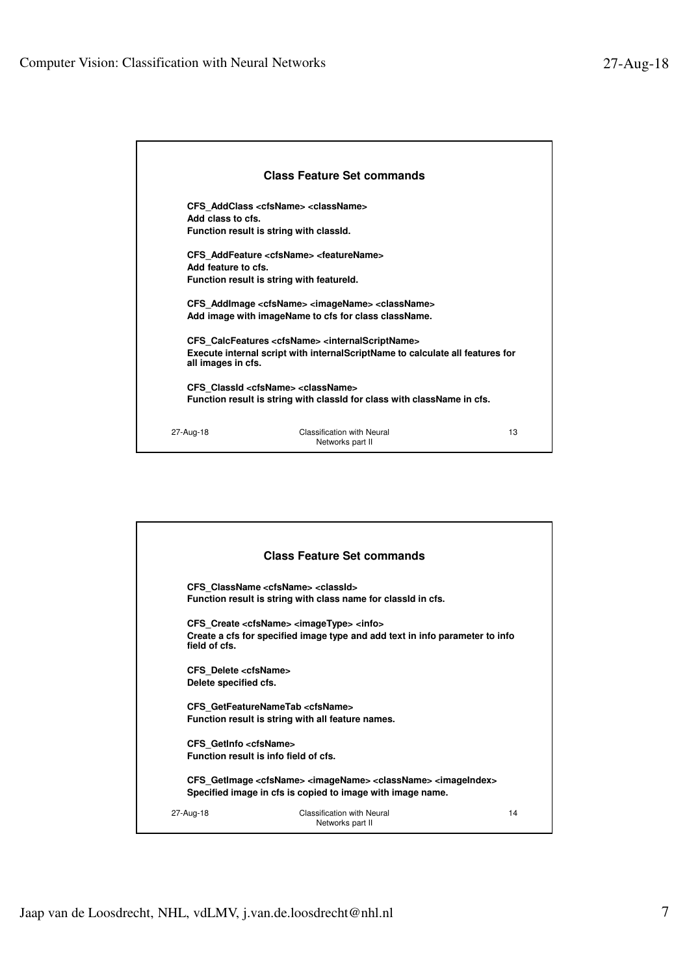| <b>Class Feature Set commands</b>                                                                                                   |                                                                                                                                                                    |    |  |
|-------------------------------------------------------------------------------------------------------------------------------------|--------------------------------------------------------------------------------------------------------------------------------------------------------------------|----|--|
| Add class to cfs.                                                                                                                   | CFS AddClass <cfsname> <classname><br/>Function result is string with classid.</classname></cfsname>                                                               |    |  |
|                                                                                                                                     | CFS AddFeature <cfsname> <featurename></featurename></cfsname>                                                                                                     |    |  |
| Add feature to cfs.                                                                                                                 |                                                                                                                                                                    |    |  |
|                                                                                                                                     | Function result is string with featureld.                                                                                                                          |    |  |
|                                                                                                                                     | CFS AddImage <cfsname> <imagename> <classname><br/>Add image with imageName to cfs for class className.</classname></imagename></cfsname>                          |    |  |
| all images in cfs.                                                                                                                  | CFS CalcFeatures <cfsname> <internalscriptname><br/>Execute internal script with internal Script Name to calculate all features for</internalscriptname></cfsname> |    |  |
| CFS Classid <cfsname> <classname><br/>Function result is string with classid for class with className in cfs.</classname></cfsname> |                                                                                                                                                                    |    |  |
| 27-Aug-18                                                                                                                           | Classification with Neural<br>Networks part II                                                                                                                     | 13 |  |

|                                                                                                                                                                           | <b>Class Feature Set commands</b>                                                                                                                     |    |  |
|---------------------------------------------------------------------------------------------------------------------------------------------------------------------------|-------------------------------------------------------------------------------------------------------------------------------------------------------|----|--|
|                                                                                                                                                                           | CFS ClassName <cfsname> <classid><br/>Function result is string with class name for classid in cfs.</classid></cfsname>                               |    |  |
| field of cfs.                                                                                                                                                             | CFS Create <cfsname> <imagetype> <info><br/>Create a cfs for specified image type and add text in info parameter to info</info></imagetype></cfsname> |    |  |
| CFS Delete <cfsname><br/>Delete specified cfs.</cfsname>                                                                                                                  |                                                                                                                                                       |    |  |
|                                                                                                                                                                           | CFS GetFeatureNameTab <cfsname><br/>Function result is string with all feature names.</cfsname>                                                       |    |  |
| CFS GetInfo <cfsname></cfsname>                                                                                                                                           | Function result is info field of cfs.                                                                                                                 |    |  |
| CFS GetImage <cfsname> <imagename> <classname> <imageindex><br/>Specified image in cfs is copied to image with image name.</imageindex></classname></imagename></cfsname> |                                                                                                                                                       |    |  |
| 27-Aug-18                                                                                                                                                                 | <b>Classification with Neural</b><br>Networks part II                                                                                                 | 14 |  |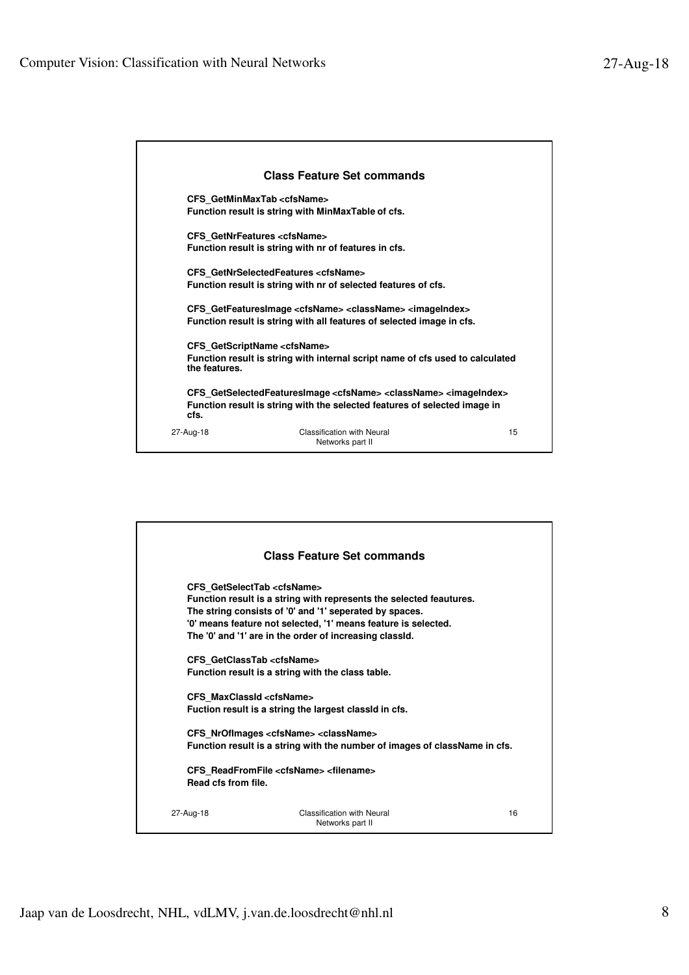|               | <b>Class Feature Set commands</b>                                                                                                                                                |    |
|---------------|----------------------------------------------------------------------------------------------------------------------------------------------------------------------------------|----|
|               | CFS GetMinMaxTab <cfsname><br/>Function result is string with MinMaxTable of cfs.</cfsname>                                                                                      |    |
|               | CFS GetNrFeatures <cfsname><br/>Function result is string with nr of features in cfs.</cfsname>                                                                                  |    |
|               | CFS GetNrSelectedFeatures <cfsname><br/>Function result is string with nr of selected features of cfs.</cfsname>                                                                 |    |
|               | CFS GetFeaturesImage <cfsname> <classname> <imageindex><br/>Function result is string with all features of selected image in cfs.</imageindex></classname></cfsname>             |    |
| the features. | CFS GetScriptName <cfsname><br/>Function result is string with internal script name of cfs used to calculated</cfsname>                                                          |    |
| cfs.          | CFS GetSelectedFeaturesImage <cfsname> <classname> <imageindex><br/>Function result is string with the selected features of selected image in</imageindex></classname></cfsname> |    |
| 27-Aug-18     | <b>Classification with Neural</b><br>Networks part II                                                                                                                            | 15 |

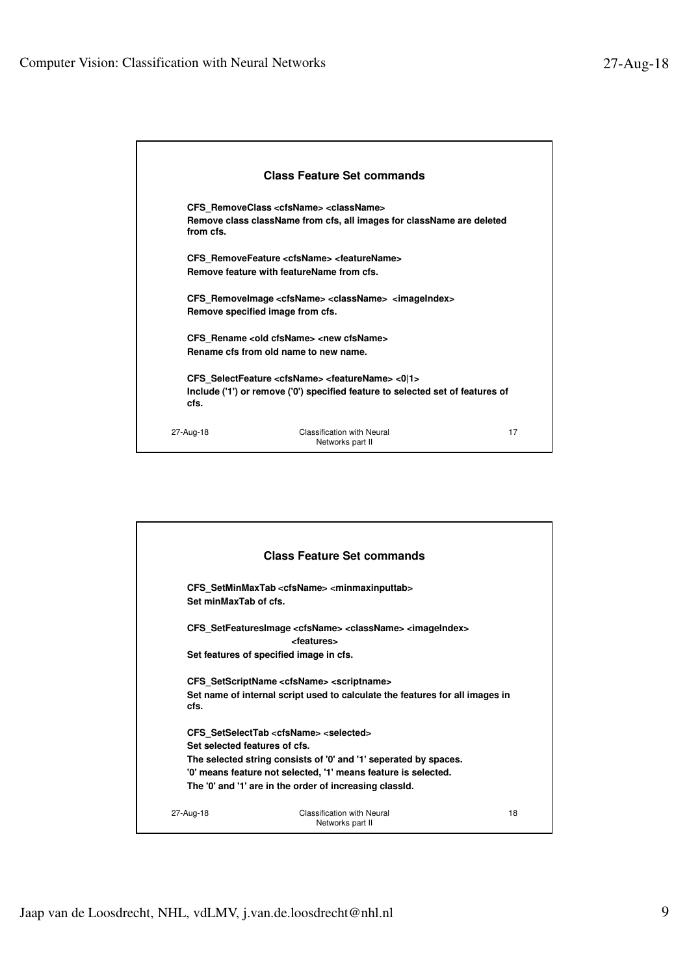|           | <b>Class Feature Set commands</b>                                                                                                                                |    |
|-----------|------------------------------------------------------------------------------------------------------------------------------------------------------------------|----|
| from cfs. | CFS RemoveClass <cfsname> <classname><br/>Remove class className from cfs, all images for className are deleted</classname></cfsname>                            |    |
|           | CFS RemoveFeature <cfsname> <featurename><br/>Remove feature with featureName from cfs.</featurename></cfsname>                                                  |    |
|           | CFS Removelmage <cfsname> <classname> <imageindex><br/>Remove specified image from cfs.</imageindex></classname></cfsname>                                       |    |
|           | CFS Rename <old cfsname=""> <new cfsname=""><br/>Rename cfs from old name to new name.</new></old>                                                               |    |
| cfs.      | CFS SelectFeature <cfsname> <featurename> &lt;0 1&gt;<br/>Include ('1') or remove ('0') specified feature to selected set of features of</featurename></cfsname> |    |
| 27-Aug-18 | <b>Classification with Neural</b><br>Networks part II                                                                                                            | 17 |

| <b>Class Feature Set commands</b>                                                                                                                                                                                                                                                                |                                                                                                                                                                  |    |  |
|--------------------------------------------------------------------------------------------------------------------------------------------------------------------------------------------------------------------------------------------------------------------------------------------------|------------------------------------------------------------------------------------------------------------------------------------------------------------------|----|--|
| Set minMaxTab of cfs.                                                                                                                                                                                                                                                                            | CFS SetMinMaxTab <cfsname> <minmaxinputtab></minmaxinputtab></cfsname>                                                                                           |    |  |
|                                                                                                                                                                                                                                                                                                  | CFS SetFeaturesImage <cfsname> <classname> <imageindex><br/><features><br/>Set features of specified image in cfs.</features></imageindex></classname></cfsname> |    |  |
| cfs.                                                                                                                                                                                                                                                                                             | CFS SetScriptName <cfsname> <scriptname><br/>Set name of internal script used to calculate the features for all images in</scriptname></cfsname>                 |    |  |
| CFS SetSelectTab <cfsname> <selected><br/>Set selected features of cfs.<br/>The selected string consists of '0' and '1' seperated by spaces.<br/>'0' means feature not selected, '1' means feature is selected.<br/>The '0' and '1' are in the order of increasing classid.</selected></cfsname> |                                                                                                                                                                  |    |  |
| 27-Aug-18                                                                                                                                                                                                                                                                                        | Classification with Neural<br>Networks part II                                                                                                                   | 18 |  |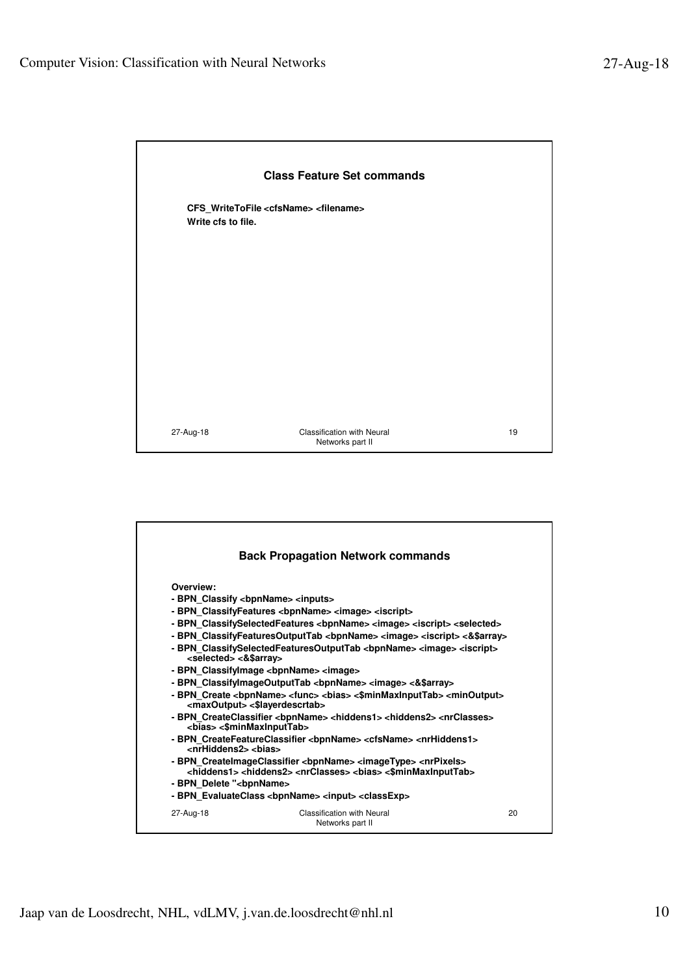

|                                                                                                                                                                                                                                                             | <b>Back Propagation Network commands</b>                                                                                                                                                                                                                                                                                                                                                                                                                                                                                                                                                                                                                                                                                                                                                                                                                                                                                                                                                                                                                                                                              |    |
|-------------------------------------------------------------------------------------------------------------------------------------------------------------------------------------------------------------------------------------------------------------|-----------------------------------------------------------------------------------------------------------------------------------------------------------------------------------------------------------------------------------------------------------------------------------------------------------------------------------------------------------------------------------------------------------------------------------------------------------------------------------------------------------------------------------------------------------------------------------------------------------------------------------------------------------------------------------------------------------------------------------------------------------------------------------------------------------------------------------------------------------------------------------------------------------------------------------------------------------------------------------------------------------------------------------------------------------------------------------------------------------------------|----|
| Overview:<br>- BPN Classify <bpnname> <inputs><br/><selected> &lt;&amp;\$array&gt;<br/><maxoutput> &lt;\$layerdescrtab&gt;<br/><bias> &lt;\$minMaxInputTab&gt;<br/><nrhiddens2> <bias></bias></nrhiddens2></bias></maxoutput></selected></inputs></bpnname> | - BPN ClassifyFeatures <bpnname> <image/> <iscript><br/>- BPN ClassifySelectedFeatures <bpnname> <image/> <iscript> <selected><br/>- BPN ClassifyFeaturesOutputTab <br/>&gt; <br/>&gt;bpnName&gt;<image/><iscript>&lt;&amp;\pd&gt;&lt;&gt;<br/>- BPN ClassifySelectedFeaturesOutputTab <bpnname> <image/> <iscript><br/>- BPN Classifylmage <bpnname> <image/><br/>- BPN ClassifylmageOutputTab <br/>&gt; <br/> clmage&gt;&lt;<a< a="">\$stray&gt;<br/>- BPN Create <bpnname> <func> <br <=""/>bias&gt; &lt;\$minMaxInputTab&gt; <minoutput><br>- BPN CreateClassifier <bpnname> <hiddens1> <hiddens2> <nrclasses><br/>- BPN_CreateFeatureClassifier <bpnname> <cfsname> <nrhiddens1><br/>- BPN CreatelmageClassifier <bpnname> <imagetype> <nrpixels><br/><hiddens1> <hiddens2> <nrclasses> <bias> &lt;\$minMaxInputTab&gt;</bias></nrclasses></hiddens2></hiddens1></nrpixels></imagetype></bpnname></nrhiddens1></cfsname></bpnname></nrclasses></hiddens2></hiddens1></bpnname></br></minoutput></func></bpnname></a<></bpnname></iscript></bpnname></iscript></selected></iscript></bpnname></iscript></bpnname> |    |
| - BPN Delete " <bpnname></bpnname>                                                                                                                                                                                                                          |                                                                                                                                                                                                                                                                                                                                                                                                                                                                                                                                                                                                                                                                                                                                                                                                                                                                                                                                                                                                                                                                                                                       |    |
|                                                                                                                                                                                                                                                             | - BPN_EvaluateClass <bpnname> <input/> <classexp></classexp></bpnname>                                                                                                                                                                                                                                                                                                                                                                                                                                                                                                                                                                                                                                                                                                                                                                                                                                                                                                                                                                                                                                                |    |
| 27-Aug-18                                                                                                                                                                                                                                                   | <b>Classification with Neural</b><br>Networks part II                                                                                                                                                                                                                                                                                                                                                                                                                                                                                                                                                                                                                                                                                                                                                                                                                                                                                                                                                                                                                                                                 | 20 |
|                                                                                                                                                                                                                                                             |                                                                                                                                                                                                                                                                                                                                                                                                                                                                                                                                                                                                                                                                                                                                                                                                                                                                                                                                                                                                                                                                                                                       |    |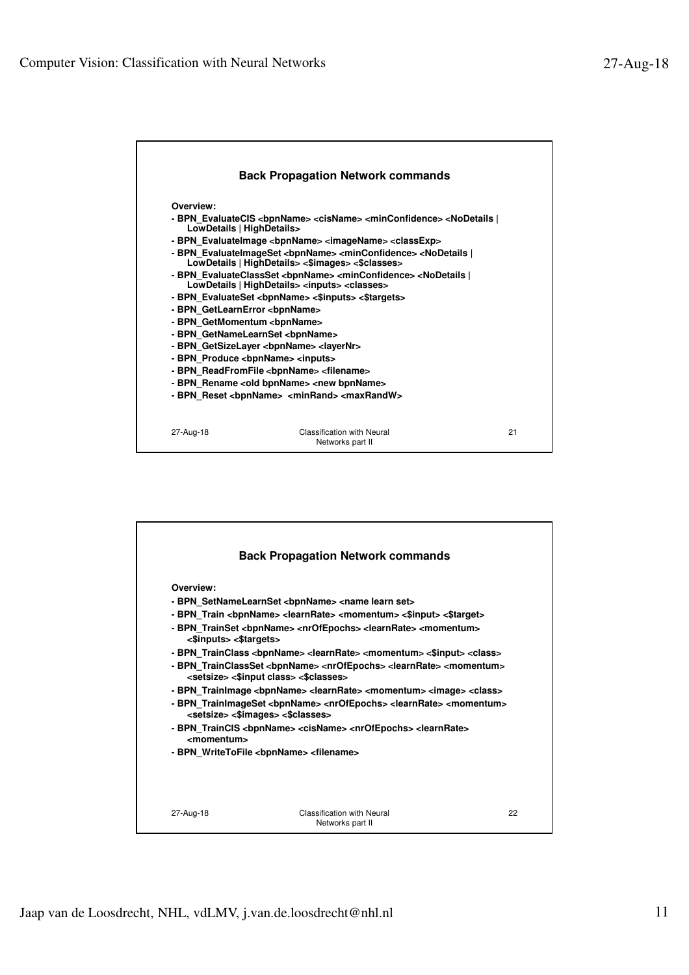

|                        | <b>Back Propagation Network commands</b>                                                                                                                                                                                                                                                                                                                                        |    |
|------------------------|---------------------------------------------------------------------------------------------------------------------------------------------------------------------------------------------------------------------------------------------------------------------------------------------------------------------------------------------------------------------------------|----|
|                        |                                                                                                                                                                                                                                                                                                                                                                                 |    |
| Overview:              |                                                                                                                                                                                                                                                                                                                                                                                 |    |
|                        | - BPN SetNameLearnSet <bpnname> <name learn="" set=""></name></bpnname>                                                                                                                                                                                                                                                                                                         |    |
|                        | - BPN Train<br>><br>><br><br><br>Learn<br>Rate> <moment<br></moment<br> <stand><starget<></starget<> <starget<></starget<> <starget<></starget<> <starget<></starget<> <starget<></starget<> <starget<></starget<> <starget<></starget<> <starget<></starget<> <starget<></starget<> <starget<></starget<> <starget<></starget<> <starget<< td=""><td></td></starget<<></stand> |    |
| <\$inputs> <\$targets> | - BPN_TrainSet <bpnname> <nrofepochs> <learnrate> <momentum></momentum></learnrate></nrofepochs></bpnname>                                                                                                                                                                                                                                                                      |    |
|                        | - BPN TrainClass <bpnname> <learnrate> <momentum> &lt;\$input&gt; <class></class></momentum></learnrate></bpnname>                                                                                                                                                                                                                                                              |    |
|                        | - BPN TrainClassSet <bpnname> <nrofepochs> <learnrate> <momentum><br/><setsize> &lt;\$input class&gt; &lt;\$classes&gt;</setsize></momentum></learnrate></nrofepochs></bpnname>                                                                                                                                                                                                 |    |
|                        | - BPN TrainImage <bpnname> <learnrate> <momentum> <image/> <class></class></momentum></learnrate></bpnname>                                                                                                                                                                                                                                                                     |    |
|                        | - BPN_TrainImageSet <bpnname> <nrofepochs> <learnrate> <momentum><br/><setsize> &lt;\$images&gt; &lt;\$classes&gt;</setsize></momentum></learnrate></nrofepochs></bpnname>                                                                                                                                                                                                      |    |
| <momentum></momentum>  | - BPN TrainCIS <bpnname> <cisname> <nrofepochs> <learnrate></learnrate></nrofepochs></cisname></bpnname>                                                                                                                                                                                                                                                                        |    |
|                        | - BPN WriteToFile <bpnname> <filename></filename></bpnname>                                                                                                                                                                                                                                                                                                                     |    |
|                        |                                                                                                                                                                                                                                                                                                                                                                                 |    |
|                        |                                                                                                                                                                                                                                                                                                                                                                                 |    |
|                        |                                                                                                                                                                                                                                                                                                                                                                                 |    |
| 27-Aug-18              | Classification with Neural                                                                                                                                                                                                                                                                                                                                                      | 22 |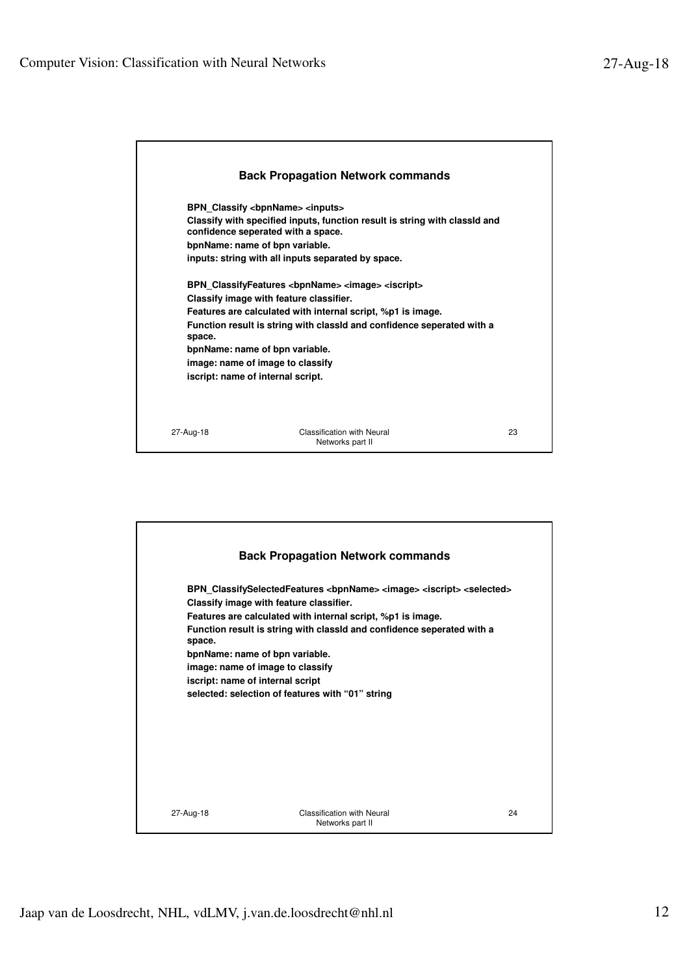|           | <b>Back Propagation Network commands</b>                                                                                                                                                                                                                                                                                                                                                                                                                                                                                                                                                                                                          |    |
|-----------|---------------------------------------------------------------------------------------------------------------------------------------------------------------------------------------------------------------------------------------------------------------------------------------------------------------------------------------------------------------------------------------------------------------------------------------------------------------------------------------------------------------------------------------------------------------------------------------------------------------------------------------------------|----|
| space.    | BPN Classify <bpnname> <inputs><br/>Classify with specified inputs, function result is string with classId and<br/>confidence seperated with a space.<br/>bpnName: name of bpn variable.<br/>inputs: string with all inputs separated by space.<br/>BPN_ClassifyFeatures <bpnname> <image/> <iscript><br/>Classify image with feature classifier.<br/>Features are calculated with internal script, %p1 is image.<br/>Function result is string with classid and confidence seperated with a<br/>bpnName: name of bpn variable.<br/>image: name of image to classify<br/>iscript: name of internal script.</iscript></bpnname></inputs></bpnname> |    |
| 27-Aug-18 | <b>Classification with Neural</b><br>Networks part II                                                                                                                                                                                                                                                                                                                                                                                                                                                                                                                                                                                             | 23 |

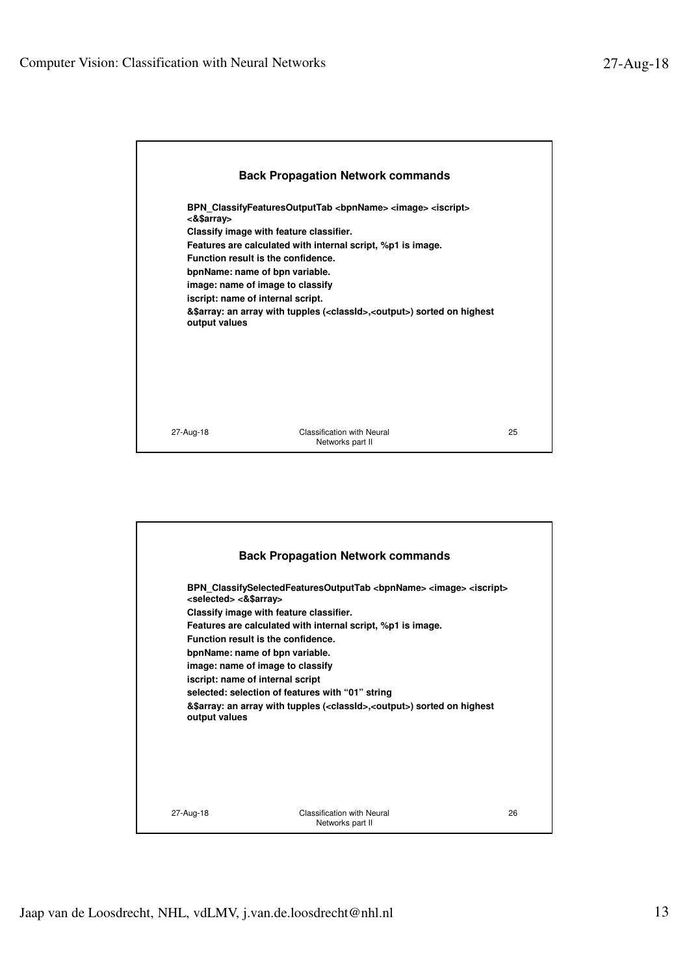

|                                                              | <b>Back Propagation Network commands</b>                                                                                                                                                                                                                                                                                                                                                                                                                                                                      |    |
|--------------------------------------------------------------|---------------------------------------------------------------------------------------------------------------------------------------------------------------------------------------------------------------------------------------------------------------------------------------------------------------------------------------------------------------------------------------------------------------------------------------------------------------------------------------------------------------|----|
| <selected> &lt;&amp;\$array&gt;<br/>output values</selected> | BPN ClassifySelectedFeaturesOutputTab<br><br>bpnName> <image/> <iscript><br/>Classify image with feature classifier.<br>Features are calculated with internal script, %p1 is image.<br/>Function result is the confidence.<br/>bpnName: name of bpn variable.<br/>image: name of image to classify<br/>iscript: name of internal script<br/>selected: selection of features with "01" string<br/>&amp;\$array: an array with tupples (<classid>,<output>) sorted on highest</output></classid></br></iscript> |    |
| 27-Aug-18                                                    | Classification with Neural<br>Networks part II                                                                                                                                                                                                                                                                                                                                                                                                                                                                | 26 |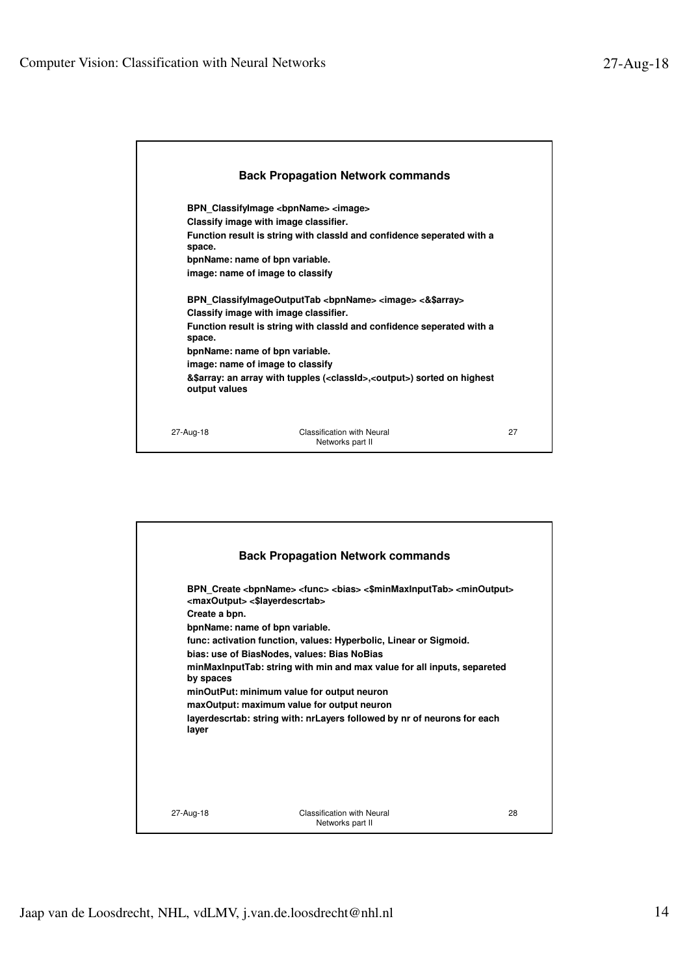|                         | <b>Back Propagation Network commands</b>                                                                                                                                                                                                                    |    |
|-------------------------|-------------------------------------------------------------------------------------------------------------------------------------------------------------------------------------------------------------------------------------------------------------|----|
| space.                  | BPN Classifylmage <bpnname> <image/><br/>Classify image with image classifier.<br/>Function result is string with classid and confidence seperated with a<br/>bpnName: name of bpn variable.<br/>image: name of image to classify</bpnname>                 |    |
| space.<br>output values | BPN ClassifylmageOutputTab<br><br>bpnName> <image/> <&\$array><br>Classify image with image classifier.<br>Function result is string with classid and confidence seperated with a<br>bpnName: name of bpn variable.<br>image: name of image to classify<br> |    |
| 27-Aug-18               | Classification with Neural<br>Networks part II                                                                                                                                                                                                              | 27 |

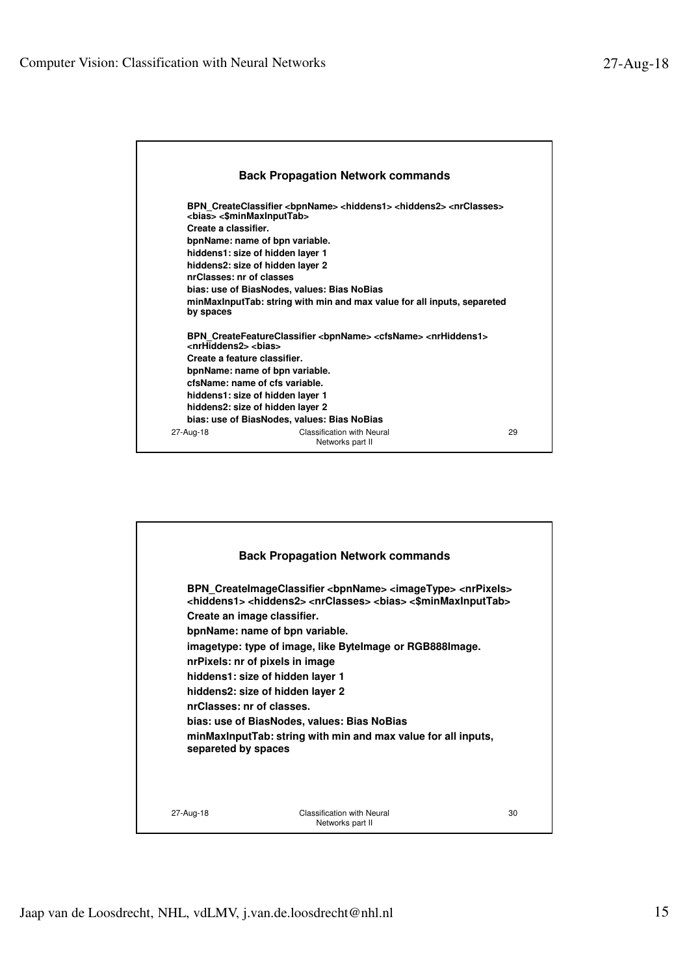

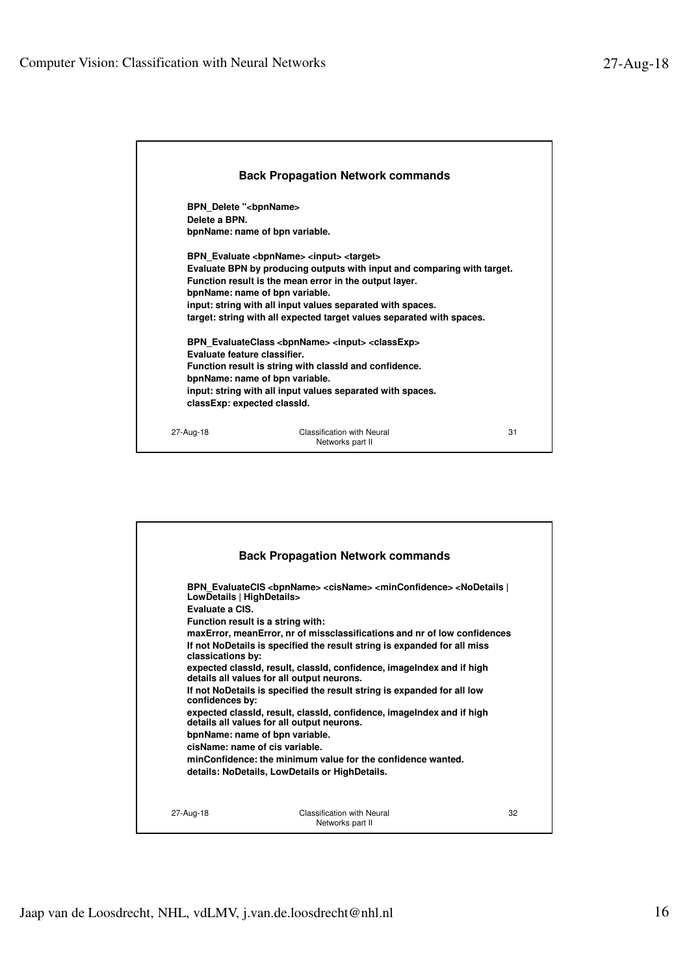

|                                              | <b>Back Propagation Network commands</b>                                                                                                                                                                                      |    |
|----------------------------------------------|-------------------------------------------------------------------------------------------------------------------------------------------------------------------------------------------------------------------------------|----|
| LowDetails   HighDetails><br>Evaluate a CIS. | BPN EvaluateCIS <bpnname> <cisname> <minconfidence> <nodetails  <br="">Function result is a string with:</nodetails></minconfidence></cisname></bpnname>                                                                      |    |
| classications by:                            | maxError, meanError, nr of missclassifications and nr of low confidences<br>If not NoDetails is specified the result string is expanded for all miss<br>expected classid, result, classid, confidence, imagelndex and if high |    |
| confidences by:                              | details all values for all output neurons.<br>If not NoDetails is specified the result string is expanded for all low<br>expected classid, result, classid, confidence, imagelndex and if high                                |    |
|                                              | details all values for all output neurons.<br>bpnName: name of bpn variable.<br>cisName: name of cis variable.<br>minConfidence: the minimum value for the confidence wanted.                                                 |    |
|                                              | details: NoDetails, LowDetails or HighDetails.                                                                                                                                                                                |    |
| 27-Aug-18                                    | <b>Classification with Neural</b><br>Networks part II                                                                                                                                                                         | 32 |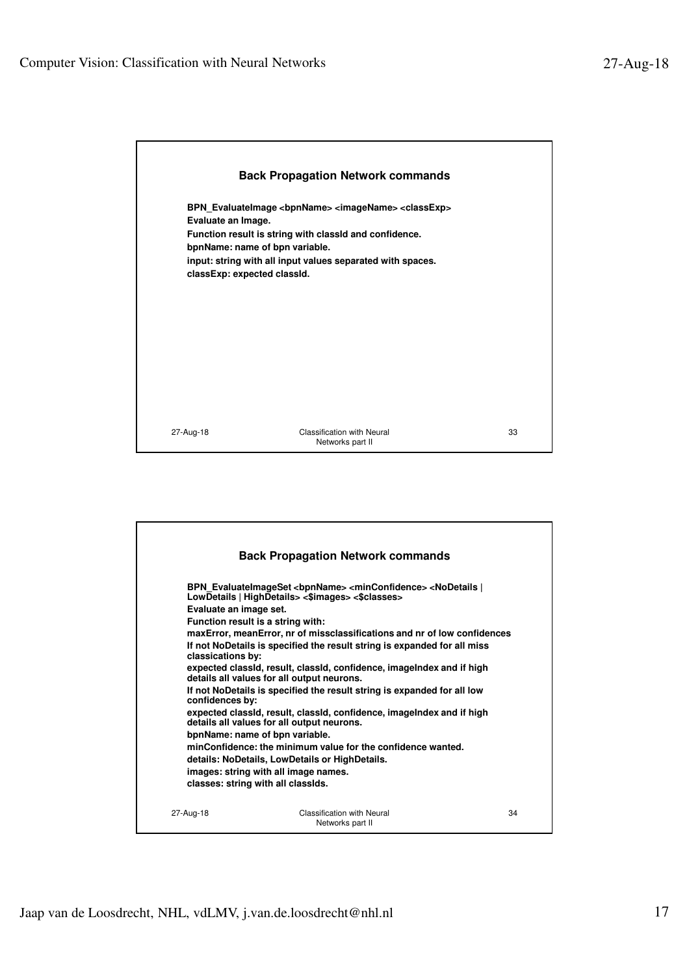

|                                                                                                                                           | <b>Back Propagation Network commands</b>                                                                                                                                                                                                                                                                                                                                                                                                                                                                                                                                                                                                                                                                                                                                                                                                                   |    |
|-------------------------------------------------------------------------------------------------------------------------------------------|------------------------------------------------------------------------------------------------------------------------------------------------------------------------------------------------------------------------------------------------------------------------------------------------------------------------------------------------------------------------------------------------------------------------------------------------------------------------------------------------------------------------------------------------------------------------------------------------------------------------------------------------------------------------------------------------------------------------------------------------------------------------------------------------------------------------------------------------------------|----|
| Evaluate an image set.<br>Function result is a string with:<br>classications by:<br>confidences by:<br>classes: string with all classids. | BPN EvaluateImageSet<br>bpnName> <minconfidence> <nodetails  <br="">LowDetails   HighDetails&gt; &lt;\$images&gt; &lt;\$classes&gt;<br/>maxError, meanError, nr of missclassifications and nr of low confidences<br/>If not NoDetails is specified the result string is expanded for all miss<br>expected classid, result, classid, confidence, imagelndex and if high<br/>details all values for all output neurons.<br/>If not NoDetails is specified the result string is expanded for all low<br/>expected classid, result, classid, confidence, imagelndex and if high<br/>details all values for all output neurons.<br/>bpnName: name of bpn variable.<br/>minConfidence: the minimum value for the confidence wanted.<br/>details: NoDetails, LowDetails or HighDetails.<br/>images: string with all image names.</br></nodetails></minconfidence> |    |
| 27-Aug-18                                                                                                                                 | Classification with Neural<br>Networks part II                                                                                                                                                                                                                                                                                                                                                                                                                                                                                                                                                                                                                                                                                                                                                                                                             | 34 |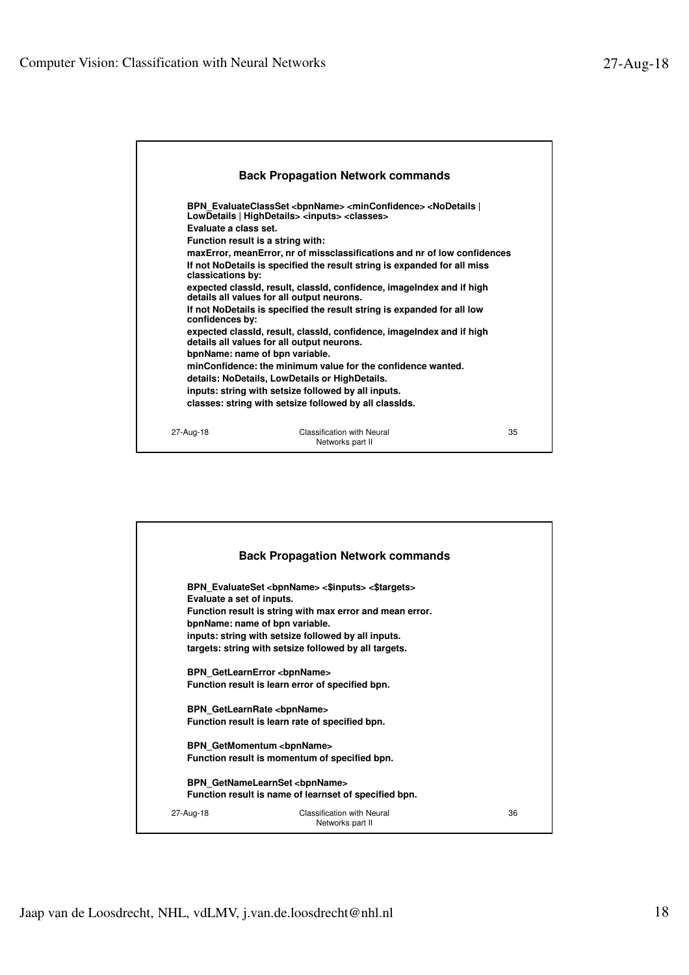

|                                                             | <b>Back Propagation Network commands</b>                                                                                                                                                                                                              |    |
|-------------------------------------------------------------|-------------------------------------------------------------------------------------------------------------------------------------------------------------------------------------------------------------------------------------------------------|----|
| Evaluate a set of inputs.<br>bpnName: name of bpn variable. | BPN EvaluateSet <bpnname> &lt;\$inputs&gt; &lt;\$targets&gt;<br/>Function result is string with max error and mean error.<br/>inputs: string with setsize followed by all inputs.<br/>targets: string with setsize followed by all targets.</bpnname> |    |
| <b>BPN GetLearnError <bpnname></bpnname></b>                | Function result is learn error of specified bpn.                                                                                                                                                                                                      |    |
| <b>BPN GetLearnRate <bpnname></bpnname></b>                 | Function result is learn rate of specified bpn.                                                                                                                                                                                                       |    |
|                                                             | <b>BPN GetMomentum <bpnname></bpnname></b><br>Function result is momentum of specified bpn.                                                                                                                                                           |    |
|                                                             | BPN GetNameLearnSet <bpnname><br/>Function result is name of learnset of specified bpn.</bpnname>                                                                                                                                                     |    |
| 27-Aug-18                                                   | Classification with Neural<br>Networks part II                                                                                                                                                                                                        | 36 |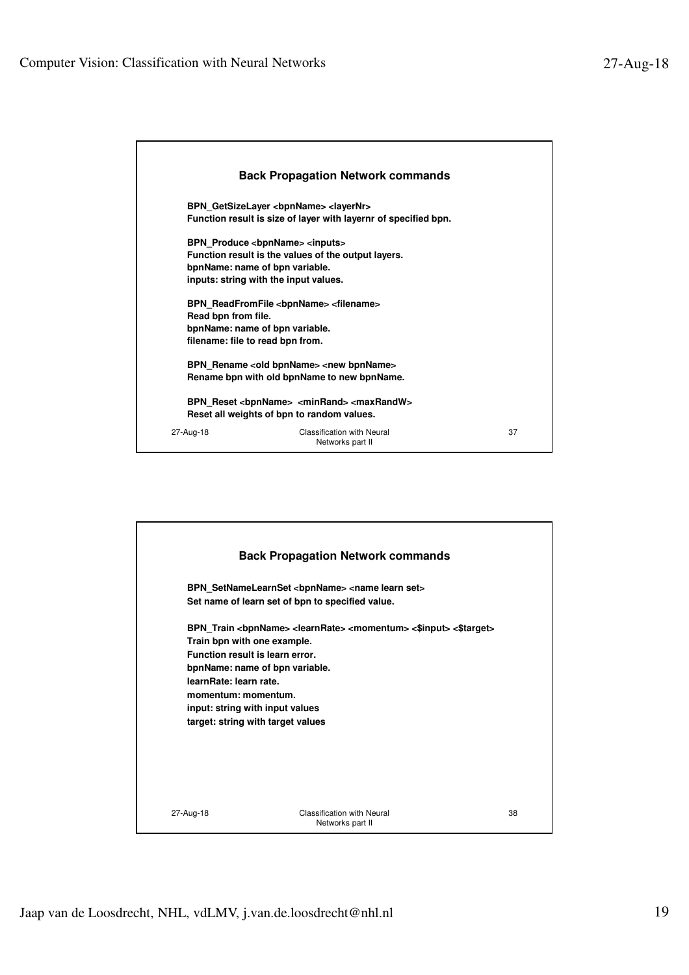|                                  | <b>Back Propagation Network commands</b>                        |    |
|----------------------------------|-----------------------------------------------------------------|----|
|                                  | BPN GetSizeLayer<br>bpnName> <layernr></layernr>                |    |
|                                  | Function result is size of layer with layernr of specified bpn. |    |
|                                  | BPN Produce <bpnname> <inputs></inputs></bpnname>               |    |
|                                  | Function result is the values of the output layers.             |    |
|                                  | bpnName: name of bpn variable.                                  |    |
|                                  | inputs: string with the input values.                           |    |
|                                  | BPN ReadFromFile <bpnname> <filename></filename></bpnname>      |    |
| Read bpn from file.              |                                                                 |    |
|                                  | bpnName: name of bpn variable.                                  |    |
| filename: file to read bpn from. |                                                                 |    |
|                                  | BPN_Rename <old bpnname=""> <new bpnname=""></new></old>        |    |
|                                  | Rename bpn with old bpnName to new bpnName.                     |    |
|                                  | BPN Reset<br>bonName> <minrand> <maxrandw></maxrandw></minrand> |    |
|                                  | Reset all weights of bpn to random values.                      |    |
| 27-Aug-18                        | <b>Classification with Neural</b><br>Networks part II           | 37 |

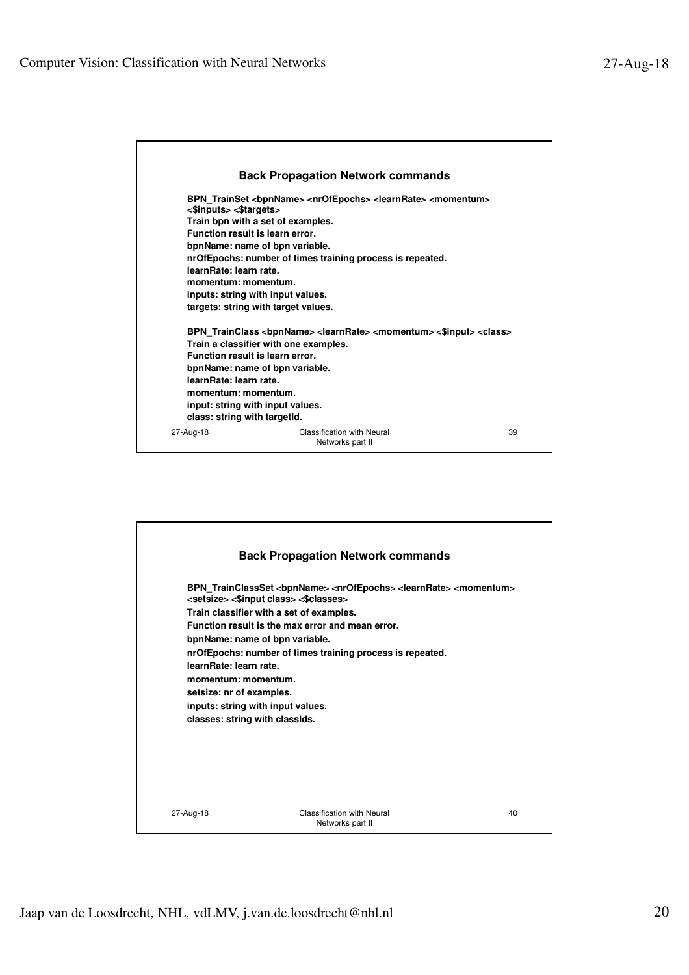

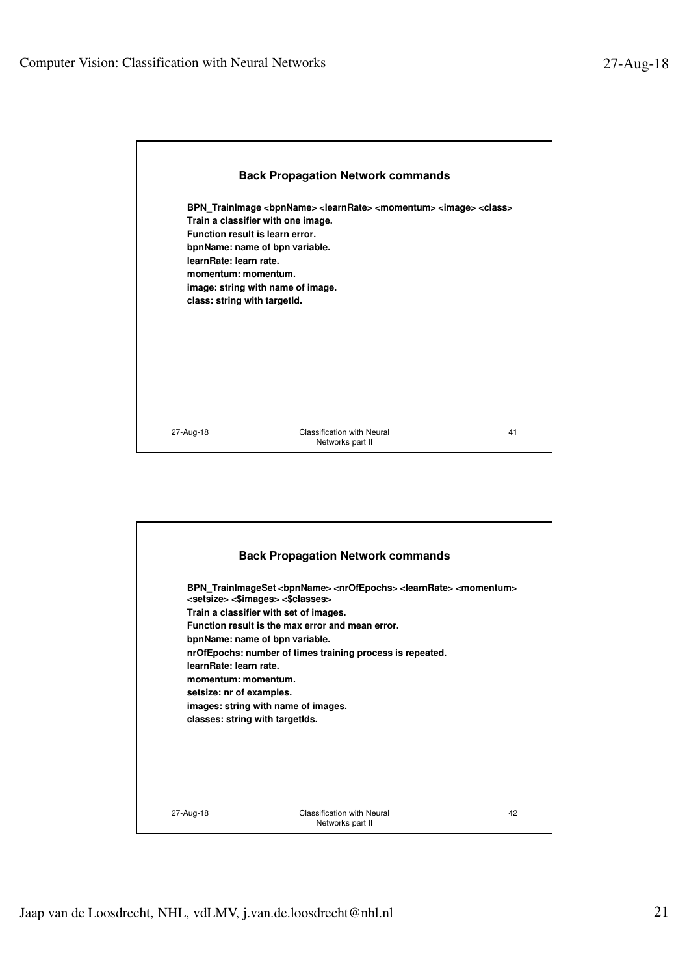

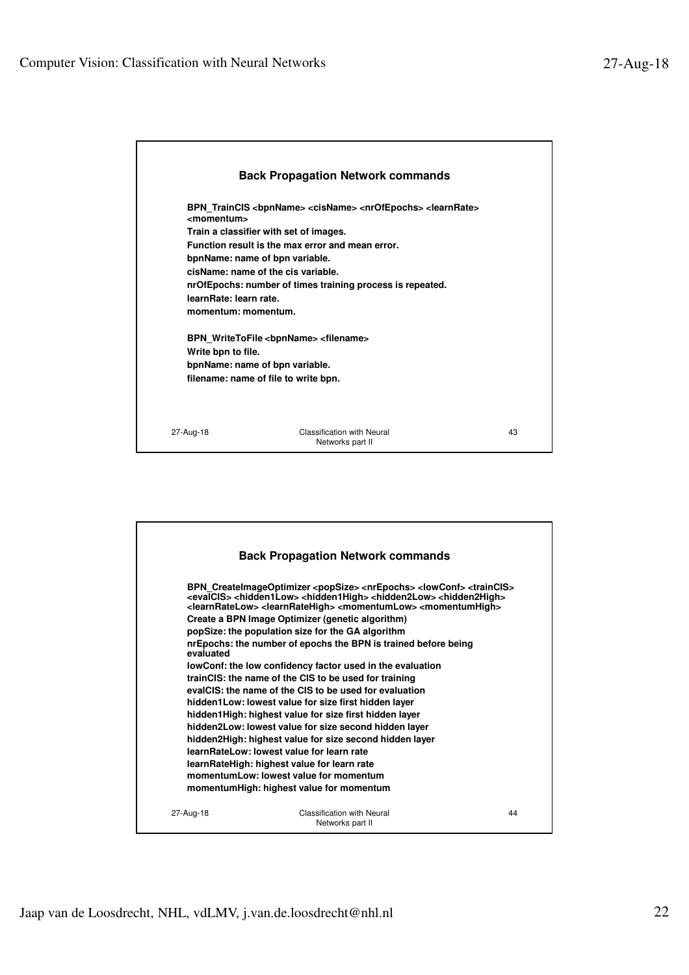

|           | <b>Back Propagation Network commands</b>                                                                                                                                                                                                                                                                                                                                                                                                                                                                                                                                                                                                                                                                                                                                                                                                                                                                                                                                                                                                                                                                                          |    |
|-----------|-----------------------------------------------------------------------------------------------------------------------------------------------------------------------------------------------------------------------------------------------------------------------------------------------------------------------------------------------------------------------------------------------------------------------------------------------------------------------------------------------------------------------------------------------------------------------------------------------------------------------------------------------------------------------------------------------------------------------------------------------------------------------------------------------------------------------------------------------------------------------------------------------------------------------------------------------------------------------------------------------------------------------------------------------------------------------------------------------------------------------------------|----|
| evaluated | BPN_CreateImageOptimizer <popsize> <nrepochs> <lowconf> <traincls><br/><evalcis> <hidden1low> <hidden1high> <hidden2low> <hidden2high><br/><learnratelow> <learnratehigh> <momentumlow> <momentumhigh><br/>Create a BPN Image Optimizer (genetic algorithm)<br/>popSize: the population size for the GA algorithm<br/>nrEpochs: the number of epochs the BPN is trained before being<br/>lowConf: the low confidency factor used in the evaluation<br/>trainCIS: the name of the CIS to be used for training<br/>evalCIS: the name of the CIS to be used for evaluation<br/>hidden1Low: lowest value for size first hidden layer<br/>hidden1High: highest value for size first hidden layer<br/>hidden2Low: lowest value for size second hidden layer<br/>hidden2High: highest value for size second hidden layer<br/>learn RateLow: lowest value for learn rate<br/>learnRateHigh: highest value for learn rate<br/>momentumLow: lowest value for momentum</momentumhigh></momentumlow></learnratehigh></learnratelow></hidden2high></hidden2low></hidden1high></hidden1low></evalcis></traincls></lowconf></nrepochs></popsize> |    |
|           | momentumHigh: highest value for momentum                                                                                                                                                                                                                                                                                                                                                                                                                                                                                                                                                                                                                                                                                                                                                                                                                                                                                                                                                                                                                                                                                          |    |
|           |                                                                                                                                                                                                                                                                                                                                                                                                                                                                                                                                                                                                                                                                                                                                                                                                                                                                                                                                                                                                                                                                                                                                   |    |
| 27-Aug-18 | <b>Classification with Neural</b><br>Networks part II                                                                                                                                                                                                                                                                                                                                                                                                                                                                                                                                                                                                                                                                                                                                                                                                                                                                                                                                                                                                                                                                             | 44 |
|           |                                                                                                                                                                                                                                                                                                                                                                                                                                                                                                                                                                                                                                                                                                                                                                                                                                                                                                                                                                                                                                                                                                                                   |    |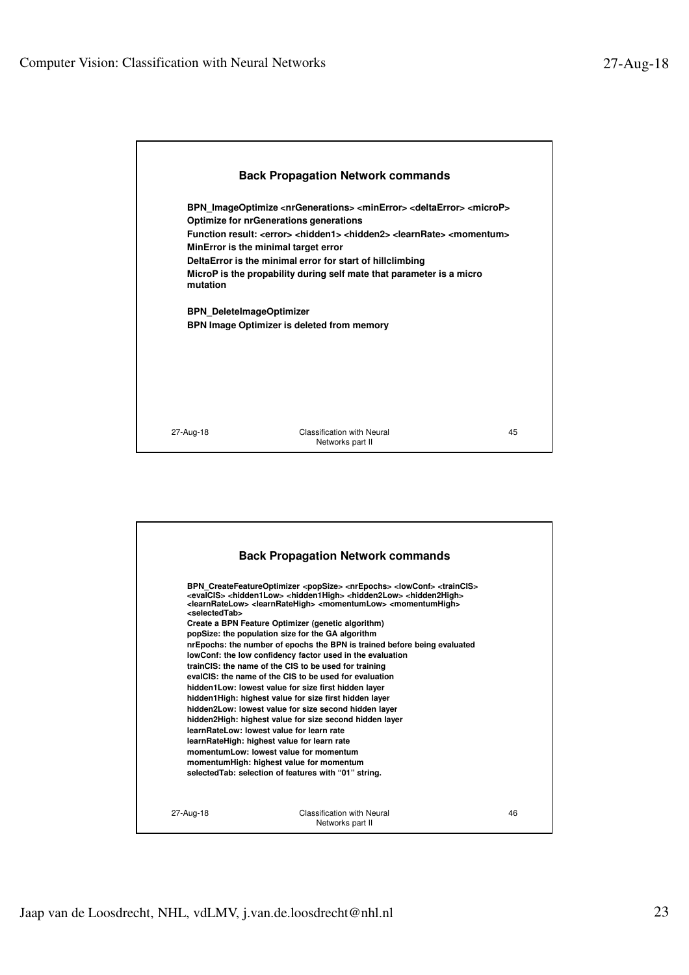

|                             | <b>Back Propagation Network commands</b>                                                                                                                                                                                                                                                                                                                                                                                                                                                                                                                                                                                                                                                                                                                                                                                                                                                                                                                                                                                                                                                                                                                                                                                                              |    |
|-----------------------------|-------------------------------------------------------------------------------------------------------------------------------------------------------------------------------------------------------------------------------------------------------------------------------------------------------------------------------------------------------------------------------------------------------------------------------------------------------------------------------------------------------------------------------------------------------------------------------------------------------------------------------------------------------------------------------------------------------------------------------------------------------------------------------------------------------------------------------------------------------------------------------------------------------------------------------------------------------------------------------------------------------------------------------------------------------------------------------------------------------------------------------------------------------------------------------------------------------------------------------------------------------|----|
| <selectedtab></selectedtab> | BPN CreateFeatureOptimizer <popsize> <nrepochs> <lowconf> <traincls><br/><evalcis> <hidden1low> <hidden1high> <hidden2low> <hidden2high><br/><learnratelow> <learnratehigh> <momentumlow> <momentumhigh><br/>Create a BPN Feature Optimizer (genetic algorithm)<br/>popSize: the population size for the GA algorithm<br/>nrEpochs: the number of epochs the BPN is trained before being evaluated<br/>lowConf: the low confidency factor used in the evaluation<br/>trainCIS: the name of the CIS to be used for training<br/>evalCIS: the name of the CIS to be used for evaluation<br/>hidden1Low: lowest value for size first hidden layer<br/>hidden1High: highest value for size first hidden layer<br/>hidden2Low: lowest value for size second hidden layer<br/>hidden2High: highest value for size second hidden layer<br/>learnBateLow: lowest value for learn rate<br/>learnRateHigh: highest value for learn rate<br/>momentumLow: lowest value for momentum<br/>momentumHigh: highest value for momentum<br/>selected Tab: selection of features with "01" string.</momentumhigh></momentumlow></learnratehigh></learnratelow></hidden2high></hidden2low></hidden1high></hidden1low></evalcis></traincls></lowconf></nrepochs></popsize> |    |
| 27-Aug-18                   | Classification with Neural<br>Networks part II                                                                                                                                                                                                                                                                                                                                                                                                                                                                                                                                                                                                                                                                                                                                                                                                                                                                                                                                                                                                                                                                                                                                                                                                        | 46 |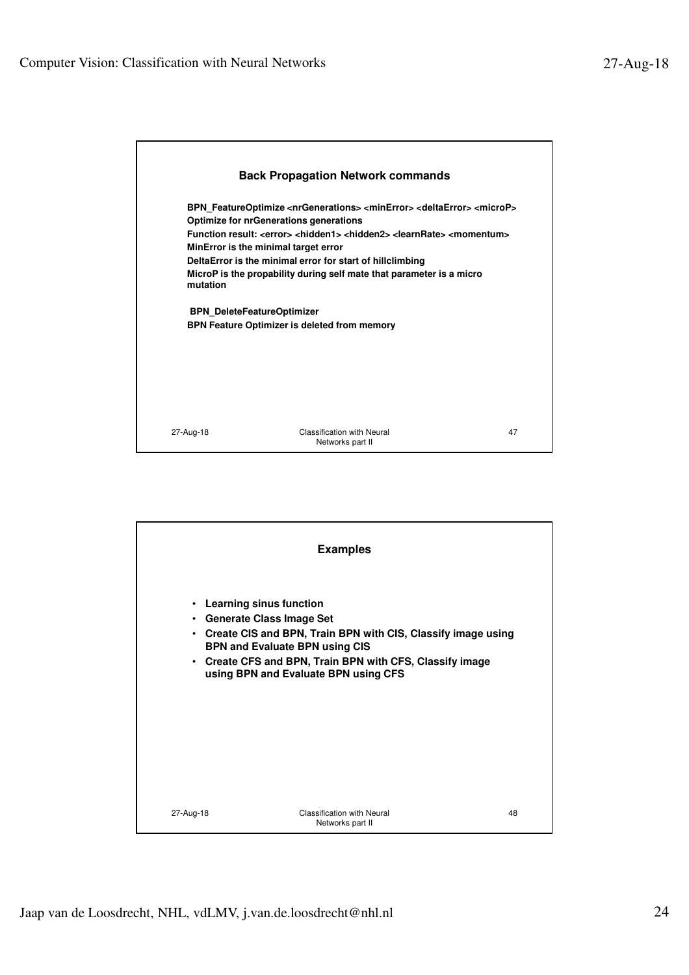

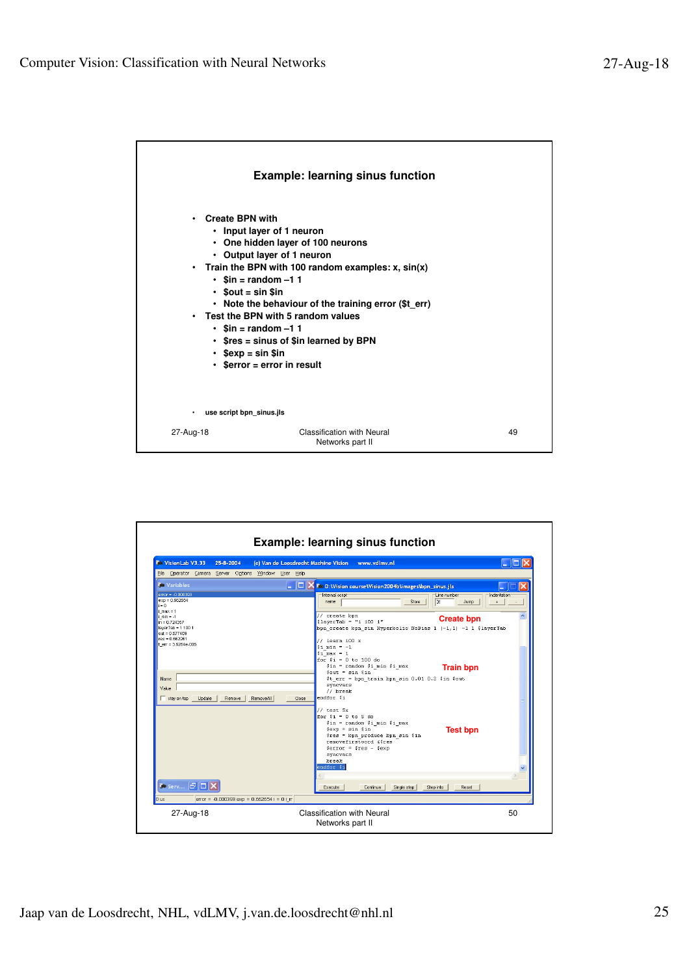

| <b>C</b> Vision Lab V3.33<br>25-8-2004                                                                                                                                                                                                                   | www.vdlmv.nl<br>(c) Van de Loosdrecht Machine Vision<br>ш                                                                                                                                                                                                                                                                                                                                                                                                                                                                                                                 |
|----------------------------------------------------------------------------------------------------------------------------------------------------------------------------------------------------------------------------------------------------------|---------------------------------------------------------------------------------------------------------------------------------------------------------------------------------------------------------------------------------------------------------------------------------------------------------------------------------------------------------------------------------------------------------------------------------------------------------------------------------------------------------------------------------------------------------------------------|
| Elle Operator Camera Server Options Window User Help<br><b><i>Co</i></b> Variables                                                                                                                                                                       | $\overline{\phantom{a}}$ $\overline{\phantom{a}}$ $\overline{\phantom{a}}$ $\overline{\phantom{a}}$<br>Co D: Wision course Wision 2004b \images \bpn_sinus.jls                                                                                                                                                                                                                                                                                                                                                                                                            |
| $error = -0.000393$<br>$exp = 0.662654$<br>$i = 0$<br>$imax = 1$<br>i min = -1<br>$in = 0.724357$<br>$layerTab = 11001$<br>$out = 0.677469$<br>res = 0.662261<br>$ter = 3.6264e - 006$<br>Name.<br>Value<br>Update<br>RemoveAll<br>stay on top<br>Remove | Internal script<br>Line number<br>Indentation<br>name<br>Store<br>131<br>Jump<br>$\ddot{\phantom{1}}$<br>// create bpn<br><b>Create bpn</b><br>$$1$ averTab = "1 100 1"<br>bpn create bpn sin Hyperbolic NoBias 1 $(-1,1)$ -1 1 \$layerTab<br>$//$ learn 100 $x$<br>$sin = -1$<br>$$i$ max = 1<br>for $i = 0$ to 100 do<br>$sin = random$ (i min (i max)<br><b>Train bpn</b><br>$sout = sin sin$<br>\$t err = bpn train bpn sin 0.01 0.2 \$in \$out<br>syncvars<br>// break<br>endfor \$i<br>Close<br>// test 5x<br>for $$i = 0$ to 5 do<br>\$in = random \$i min \$i max |
| Co Serv FDD<br>error = -0.000393 exp = 0.662654 i = 0 i_m<br>0 us                                                                                                                                                                                        | $sexp = sin sin$<br><b>Test bpn</b><br>$\frac{2}{3}$ res = bpn produce bpn sin $\frac{2}{3}$ in<br>removefirstword &\$res<br>$serror = sres - sexp$<br>syncvars<br>hreak<br>endfor \$i<br>Single step<br>Continue<br>Step into<br>Reset<br>Execute                                                                                                                                                                                                                                                                                                                        |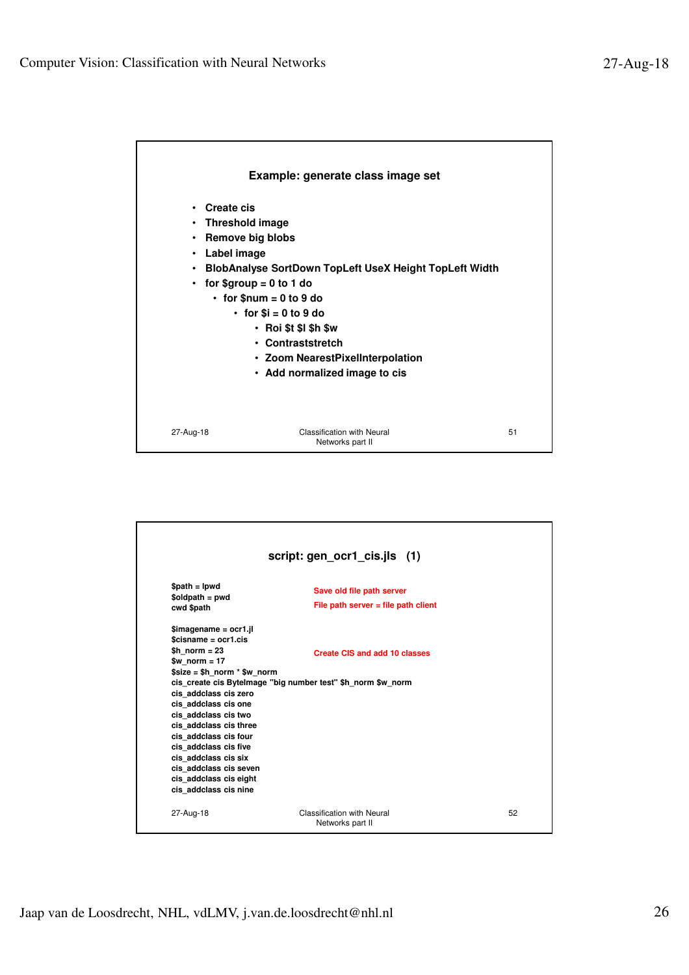

|                                                                                                                                                                                                                                                                                                                                                                                  | script: gen_ocr1_cis.jls (1)                                                                         |    |  |
|----------------------------------------------------------------------------------------------------------------------------------------------------------------------------------------------------------------------------------------------------------------------------------------------------------------------------------------------------------------------------------|------------------------------------------------------------------------------------------------------|----|--|
| $$path = lpwd$<br>$$oldpath = pwd$<br>cwd \$path                                                                                                                                                                                                                                                                                                                                 | Save old file path server<br>File path server $=$ file path client                                   |    |  |
| $Sima$ quame = ocr1.jl<br>$Scisname = ocr1.cis$<br>$$h$ norm = 23<br>\$w norm $= 17$<br>$$size = $h$ norm $*$ \$w norm<br>cis addclass cis zero<br>cis addclass cis one<br>cis addclass cis two<br>cis addclass cis three<br>cis addclass cis four<br>cis addclass cis five<br>cis addclass cis six<br>cis addclass cis seven<br>cis addclass cis eight<br>cis addclass cis nine | <b>Create CIS and add 10 classes</b><br>cis create cis Bytelmage "big number test" \$h norm \$w norm |    |  |
| 27-Aug-18                                                                                                                                                                                                                                                                                                                                                                        | <b>Classification with Neural</b><br>Networks part II                                                | 52 |  |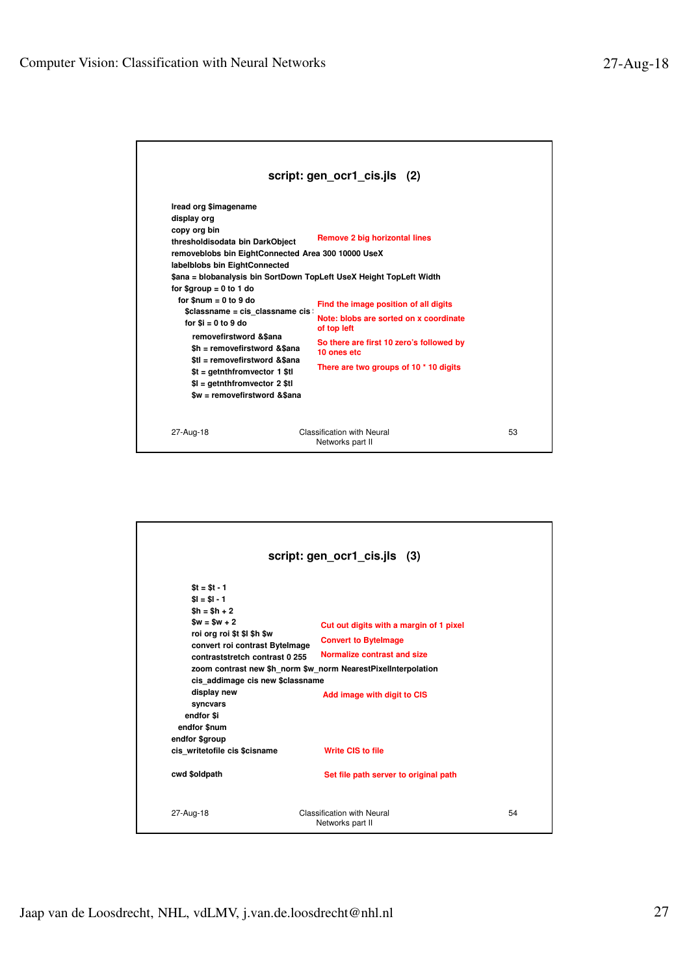|                                                                                                                                                                                                                                                                                                                                                                                                                                                                                                                                                                         | script: gen_ocr1_cis.jls (2)                                                                                                                                                                                                                |    |
|-------------------------------------------------------------------------------------------------------------------------------------------------------------------------------------------------------------------------------------------------------------------------------------------------------------------------------------------------------------------------------------------------------------------------------------------------------------------------------------------------------------------------------------------------------------------------|---------------------------------------------------------------------------------------------------------------------------------------------------------------------------------------------------------------------------------------------|----|
| Iread org \$imagename<br>display org<br>copy org bin<br>thresholdisodata bin DarkObject<br>removeblobs bin EightConnected Area 300 10000 UseX<br>labelblobs bin EightConnected<br>\$ana = blobanalysis bin SortDown TopLeft UseX Height TopLeft Width<br>for $$$ group = 0 to 1 do<br>for $$num = 0$ to 9 do<br>\$classname = cis classname cis<br>for $$i = 0$ to 9 do<br>removefirstword &\$ana<br>\$h = removefirstword &\$ana<br>\$tl = removefirstword &\$ana<br>\$t = getnthfromvector 1 \$tl<br>$$I =$ qetnthfrom vector 2 $$tI$<br>\$w = removefirstword &\$ana | <b>Remove 2 big horizontal lines</b><br>Find the image position of all digits<br>Note: blobs are sorted on x coordinate<br>of top left<br>So there are first 10 zero's followed by<br>10 ones etc<br>There are two groups of 10 * 10 digits |    |
| 27-Aug-18                                                                                                                                                                                                                                                                                                                                                                                                                                                                                                                                                               | Classification with Neural<br>Networks part II                                                                                                                                                                                              | 53 |

| script: gen_ocr1_cis.jls (3)                                                                                                                                                                                                                                                                                                                                                          |                                                                                                                                                                  |    |  |  |
|---------------------------------------------------------------------------------------------------------------------------------------------------------------------------------------------------------------------------------------------------------------------------------------------------------------------------------------------------------------------------------------|------------------------------------------------------------------------------------------------------------------------------------------------------------------|----|--|--|
| $St = St - 1$<br>$$I = $I - 1$<br>$$h = $h + 2$$<br>$Sw = Sw + 2$<br>roi org roi \$t \$l \$h \$w<br>convert roi contrast Bytelmage<br>contraststretch contrast 0 255<br>zoom contrast new \$h norm \$w norm NearestPixelInterpolation<br>cis addimage cis new \$classname<br>display new<br>syncvars<br>endfor \$i<br>endfor \$num<br>endfor \$group<br>cis writetofile cis \$cisname | Cut out digits with a margin of 1 pixel<br><b>Convert to Bytelmage</b><br>Normalize contrast and size<br>Add image with digit to CIS<br><b>Write CIS to file</b> |    |  |  |
| cwd \$oldpath                                                                                                                                                                                                                                                                                                                                                                         | Set file path server to original path                                                                                                                            |    |  |  |
| 27-Aug-18                                                                                                                                                                                                                                                                                                                                                                             | Classification with Neural<br>Networks part II                                                                                                                   | 54 |  |  |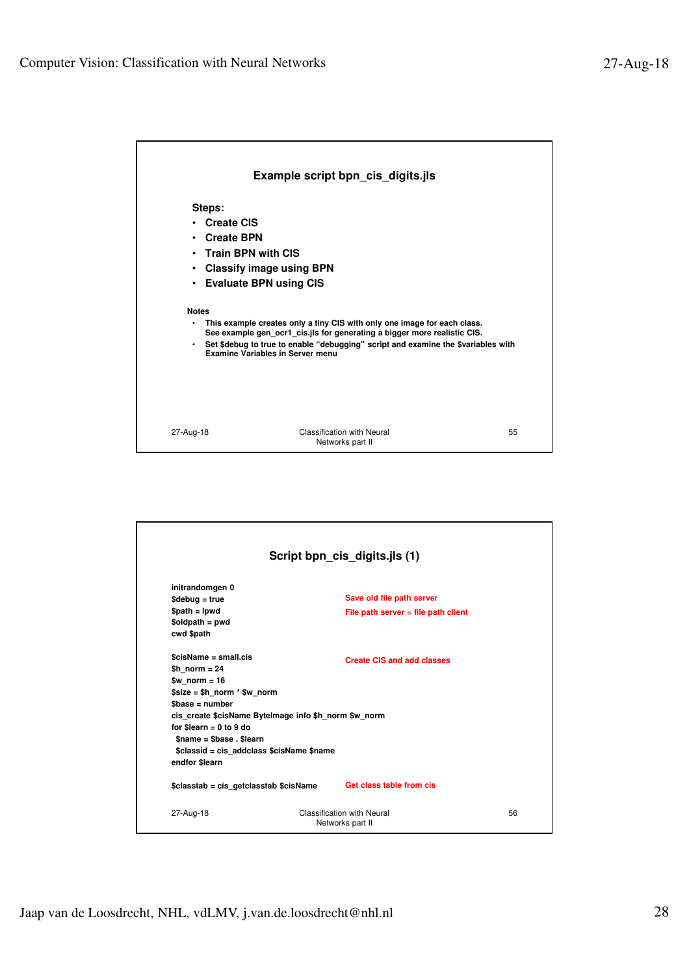

|                                                                                                                                                                                                                                                                                                   | Script bpn_cis_digits.jls (1)                                      |    |
|---------------------------------------------------------------------------------------------------------------------------------------------------------------------------------------------------------------------------------------------------------------------------------------------------|--------------------------------------------------------------------|----|
| initrandomgen 0<br>$$debuq = true$<br>$$path = lpwd$<br>\$oldpath = pwd<br>cwd \$path                                                                                                                                                                                                             | Save old file path server<br>File path server $=$ file path client |    |
| \$cisName = small.cis<br>$$h$ norm = 24<br>$wnorm = 16$<br>$$size = $h$ norm $*$ \$w norm<br>$\$base = number$<br>cis create \$cisName Bytelmage info \$h norm \$w norm<br>for \$learn = $0$ to $9$ do<br>$$name = $base . $learn$<br>\$classid = cis addclass \$cisName \$name<br>endfor \$learn | Create CIS and add classes                                         |    |
| \$classtab = cis getclasstab \$cisName                                                                                                                                                                                                                                                            | Get class table from cis                                           |    |
| 27-Aug-18                                                                                                                                                                                                                                                                                         | Classification with Neural<br>Networks part II                     | 56 |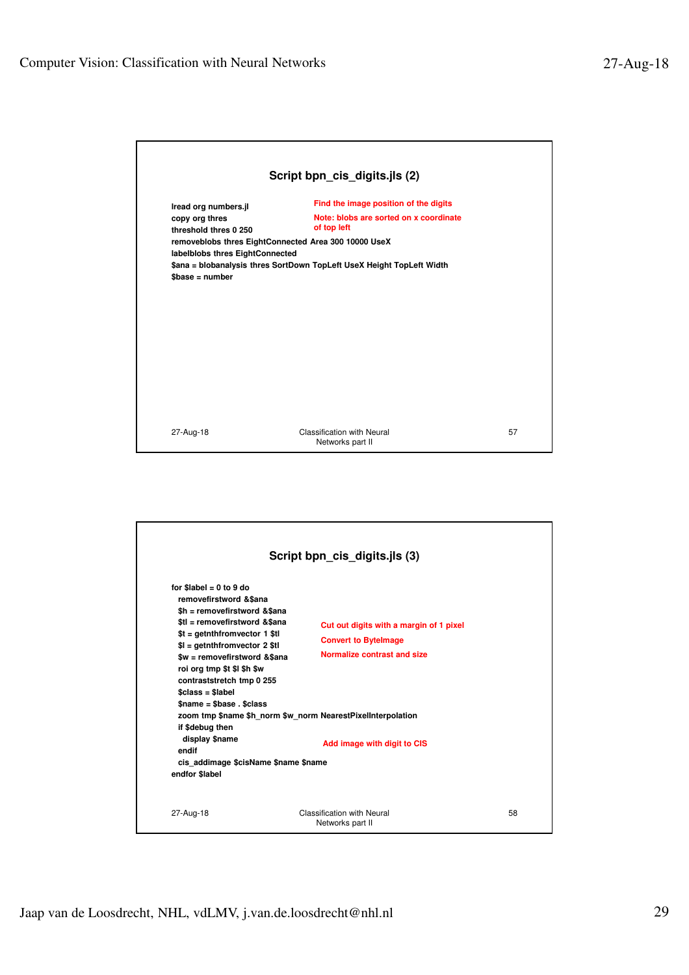| Script bpn_cis_digits.jls (2)                                                                                                 |                                                                                                                                                        |    |
|-------------------------------------------------------------------------------------------------------------------------------|--------------------------------------------------------------------------------------------------------------------------------------------------------|----|
| Iread org numbers.jl<br>copy org thres<br>threshold thres 0 250                                                               | Find the image position of the digits<br>Note: blobs are sorted on x coordinate<br>of top left<br>removeblobs thres EightConnected Area 300 10000 UseX |    |
| labelblobs thres EightConnected<br>\$ana = blobanalysis thres SortDown TopLeft UseX Height TopLeft Width<br>$\$base = number$ |                                                                                                                                                        |    |
|                                                                                                                               |                                                                                                                                                        |    |
|                                                                                                                               |                                                                                                                                                        |    |
|                                                                                                                               |                                                                                                                                                        |    |
| 27-Aug-18                                                                                                                     | <b>Classification with Neural</b><br>Networks part II                                                                                                  | 57 |

| Script bpn_cis_digits.jls (3)                                                                                                                                                                                                                                                                                                                                                                                                             |                                                                                                                                                                                                     |    |  |
|-------------------------------------------------------------------------------------------------------------------------------------------------------------------------------------------------------------------------------------------------------------------------------------------------------------------------------------------------------------------------------------------------------------------------------------------|-----------------------------------------------------------------------------------------------------------------------------------------------------------------------------------------------------|----|--|
| for \$label = $0$ to $9$ do<br>removefirstword & \$ana<br>\$h = removefirstword &\$ana<br>\$tl = removefirstword &\$ana<br>$st = getnthfromvector 1$ \$tl<br>$I =$ qetnthfromvector 2 \$tl<br>\$w = removefirstword &\$ana<br>roi org tmp \$t \$I \$h \$w<br>contraststretch tmp 0 255<br>$Sclass = Slabel$<br>$î$ shase . Sclass<br>if \$debug then<br>display \$name<br>endif<br>cis addimage \$cisName \$name \$name<br>endfor \$label | Cut out digits with a margin of 1 pixel<br><b>Convert to Bytelmage</b><br>Normalize contrast and size<br>zoom tmp \$name \$h norm \$w norm NearestPixelInterpolation<br>Add image with digit to CIS |    |  |
| 27-Aug-18                                                                                                                                                                                                                                                                                                                                                                                                                                 | Classification with Neural<br>Networks part II                                                                                                                                                      | 58 |  |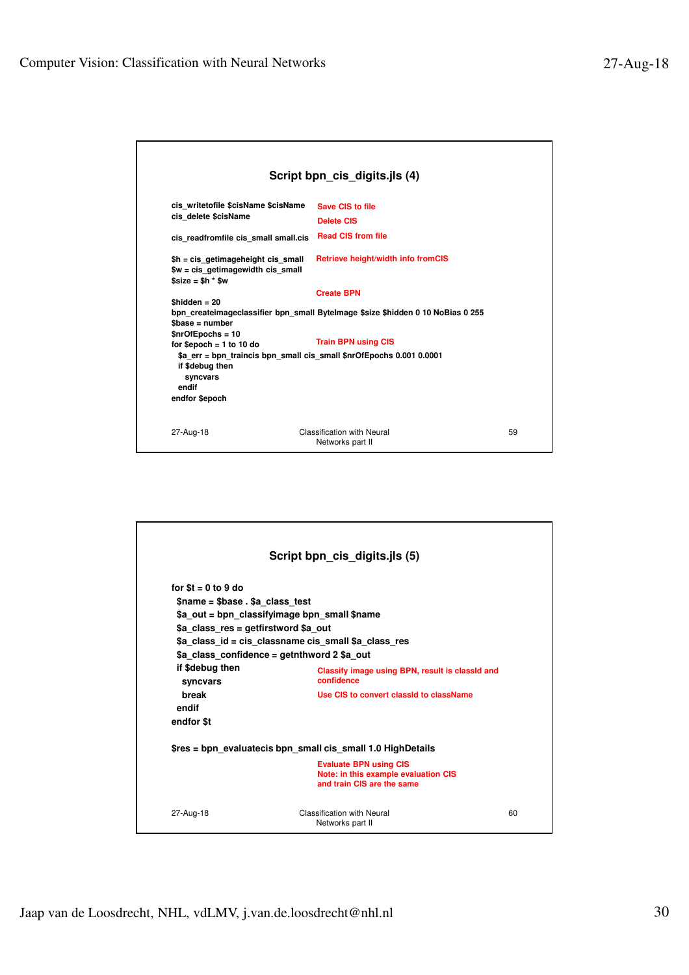| Script bpn_cis_digits.jls (4)                                                                       |                                                                                                      |    |  |
|-----------------------------------------------------------------------------------------------------|------------------------------------------------------------------------------------------------------|----|--|
| cis writetofile \$cisName \$cisName<br>cis delete \$cisName<br>cis readfromfile cis small small.cis | Save CIS to file<br><b>Delete CIS</b><br><b>Read CIS from file</b>                                   |    |  |
| \$h = cis getimageheight cis small<br>$w = cis$ getimagewidth cis small<br>$$size = $h * $w$        | <b>Retrieve height/width info fromCIS</b>                                                            |    |  |
| $$hidden = 20$<br>$\$base = number$<br>$$nrOfEpochs = 10$                                           | <b>Create BPN</b><br>bpn createimageclassifier bpn small Bytelmage \$size \$hidden 0 10 NoBias 0 255 |    |  |
| for \$epoch $= 1$ to 10 do<br>if \$debug then<br>syncvars<br>endif                                  | <b>Train BPN using CIS</b><br>\$a err = bpn traincis bpn small cis small \$nrOfEpochs 0.001 0.0001   |    |  |
| endfor \$epoch                                                                                      |                                                                                                      |    |  |
| 27-Aug-18                                                                                           | <b>Classification with Neural</b><br>Networks part II                                                | 59 |  |

| Script bpn_cis_digits.jls (5)                        |                                                                                                     |    |  |
|------------------------------------------------------|-----------------------------------------------------------------------------------------------------|----|--|
| for $t = 0$ to 9 do                                  |                                                                                                     |    |  |
| \$name = \$base . \$a_class_test                     |                                                                                                     |    |  |
| \$a out = bpn classifyimage bpn small \$name         |                                                                                                     |    |  |
| \$a class res = getfirstword \$a out                 |                                                                                                     |    |  |
| \$a class id = cis classname cis small \$a class res |                                                                                                     |    |  |
| \$a class confidence = getnthword 2 \$a out          |                                                                                                     |    |  |
| if \$debug then<br>syncvars                          | Classify image using BPN, result is classid and<br>confidence                                       |    |  |
| break<br>endif                                       | Use CIS to convert classid to className                                                             |    |  |
| endfor \$t                                           |                                                                                                     |    |  |
|                                                      | \$res = bpn evaluatecis bpn small cis small 1.0 HighDetails                                         |    |  |
|                                                      | <b>Evaluate BPN using CIS</b><br>Note: in this example evaluation CIS<br>and train CIS are the same |    |  |
| 27-Aug-18                                            | Classification with Neural<br>Networks part II                                                      | 60 |  |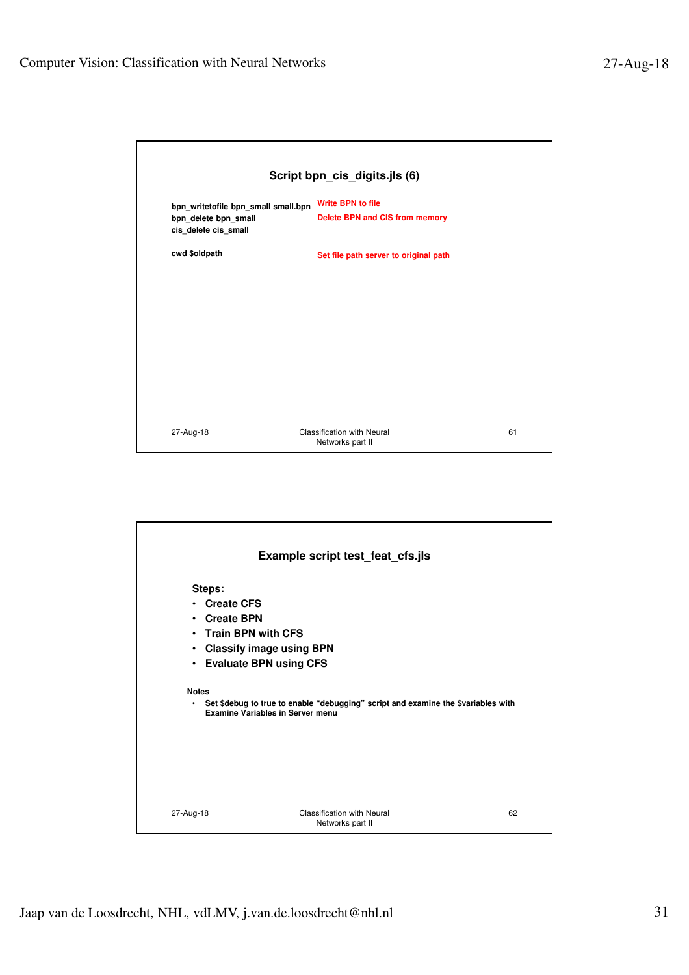|                                                                                     | Script bpn_cis_digits.jls (6)                              |    |  |  |
|-------------------------------------------------------------------------------------|------------------------------------------------------------|----|--|--|
| bpn_writetofile bpn_small small.bpn<br>bpn_delete bpn_small<br>cis_delete cis_small | <b>Write BPN to file</b><br>Delete BPN and CIS from memory |    |  |  |
| cwd \$oldpath                                                                       | Set file path server to original path                      |    |  |  |
|                                                                                     |                                                            |    |  |  |
|                                                                                     |                                                            |    |  |  |
|                                                                                     |                                                            |    |  |  |
|                                                                                     |                                                            |    |  |  |
|                                                                                     |                                                            |    |  |  |
| 27-Aug-18                                                                           | Classification with Neural<br>Networks part II             | 61 |  |  |

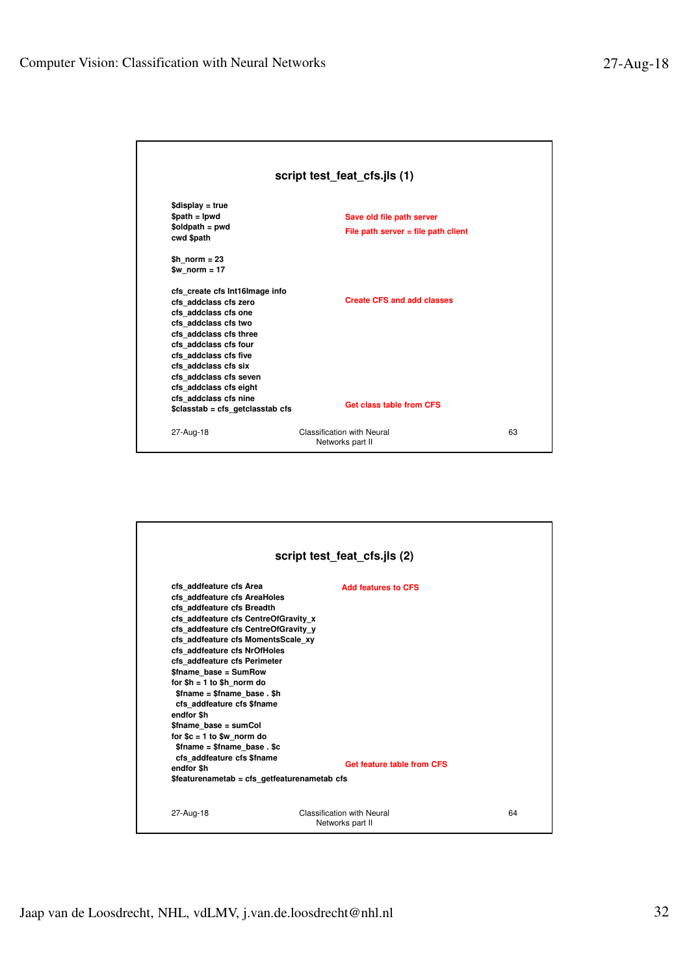| script test_feat_cfs.jls (1)                                                                                                                                                                                                                                                             |                                                                    |    |  |
|------------------------------------------------------------------------------------------------------------------------------------------------------------------------------------------------------------------------------------------------------------------------------------------|--------------------------------------------------------------------|----|--|
| $$display = true$<br>$$path = lpwd$<br>$$oldpath = pwd$<br>cwd \$path                                                                                                                                                                                                                    | Save old file path server<br>File path server $=$ file path client |    |  |
| $$h$ norm = 23<br>\$w norm $= 17$                                                                                                                                                                                                                                                        |                                                                    |    |  |
| cfs create cfs Int16Image info<br>cfs addclass cfs zero<br>cfs addclass cfs one<br>cfs addclass cfs two<br>cfs addclass cfs three<br>cfs addclass cfs four<br>cfs addclass cfs five<br>cfs addclass cfs six<br>cfs addclass cfs seven<br>cfs addclass cfs eight<br>cfs addclass cfs nine | <b>Create CFS and add classes</b>                                  |    |  |
| \$classtab = cfs getclasstab cfs                                                                                                                                                                                                                                                         | Get class table from CFS                                           |    |  |
| 27-Aug-18                                                                                                                                                                                                                                                                                | Classification with Neural<br>Networks part II                     | 63 |  |

|                                                                                                                                                                                                                                                                                                                                                                                                                                                                                                                                                    | script test_feat_cfs.jls (2)                             |    |
|----------------------------------------------------------------------------------------------------------------------------------------------------------------------------------------------------------------------------------------------------------------------------------------------------------------------------------------------------------------------------------------------------------------------------------------------------------------------------------------------------------------------------------------------------|----------------------------------------------------------|----|
| cfs addfeature cfs Area<br>cfs addfeature cfs AreaHoles<br>cfs addfeature cfs Breadth<br>cfs addfeature cfs CentreOfGravity x<br>cfs addfeature cfs CentreOfGravity y<br>cfs addfeature cfs MomentsScale xy<br>cfs addfeature cfs NrOfHoles<br>cfs addfeature cfs Perimeter<br>\$fname base = SumRow<br>for $h = 1$ to $h$ norm do<br>\$fname = \$fname base.\$h<br>cfs addfeature cfs \$fname<br>endfor \$h<br>\$fname base = sumCol<br>for $c = 1$ to $w$ norm do<br>$$$ fname = $$$ fname base. \$c<br>cfs addfeature cfs \$fname<br>endfor \$h | <b>Add features to CFS</b><br>Get feature table from CFS |    |
| \$featurenametab = cfs getfeaturenametab cfs                                                                                                                                                                                                                                                                                                                                                                                                                                                                                                       |                                                          |    |
| 27-Aug-18                                                                                                                                                                                                                                                                                                                                                                                                                                                                                                                                          | Classification with Neural<br>Networks part II           | 64 |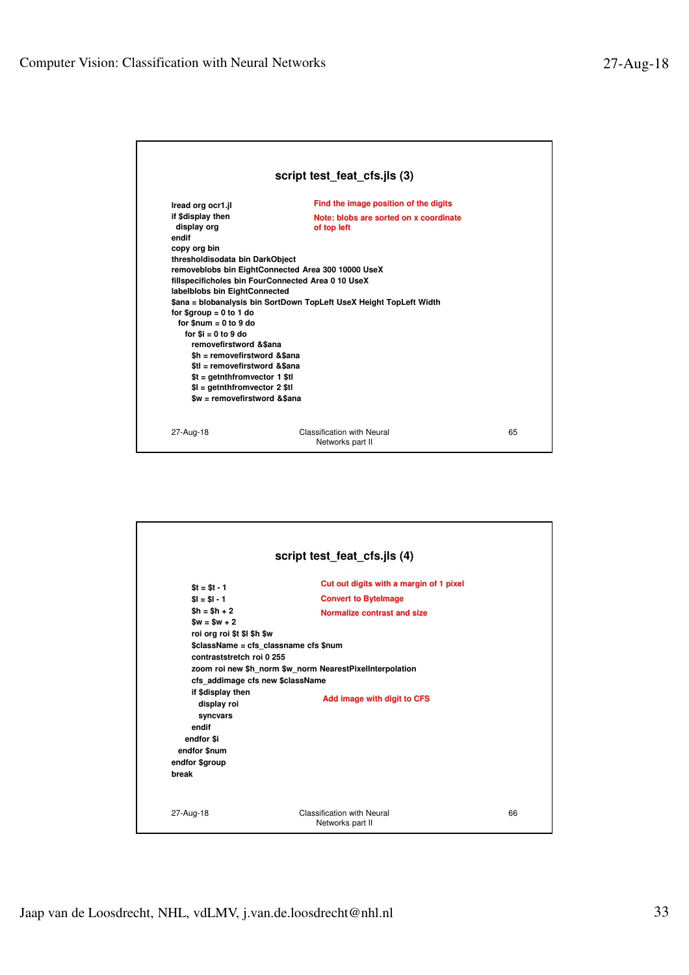

| script test_feat_cfs.jls (4)                                                                                                                                                                                                                                                        |                                                                                                                                                                                                                                           |    |  |
|-------------------------------------------------------------------------------------------------------------------------------------------------------------------------------------------------------------------------------------------------------------------------------------|-------------------------------------------------------------------------------------------------------------------------------------------------------------------------------------------------------------------------------------------|----|--|
| $St = St - 1$<br>$SI = SI - 1$<br>$$h = $h + 2$$<br>$Sw = Sw + 2$<br>roi org roi \$t \$l \$h \$w<br>contraststretch roi 0 255<br>cfs addimage cfs new \$className<br>if \$display then<br>display roi<br>syncvars<br>endif<br>endfor \$i<br>endfor \$num<br>endfor \$group<br>break | Cut out digits with a margin of 1 pixel<br><b>Convert to Bytelmage</b><br>Normalize contrast and size<br>\$className = cfs classname cfs \$num<br>zoom roi new \$h norm \$w norm NearestPixelInterpolation<br>Add image with digit to CFS |    |  |
| 27-Aug-18                                                                                                                                                                                                                                                                           | Classification with Neural<br>Networks part II                                                                                                                                                                                            | 66 |  |